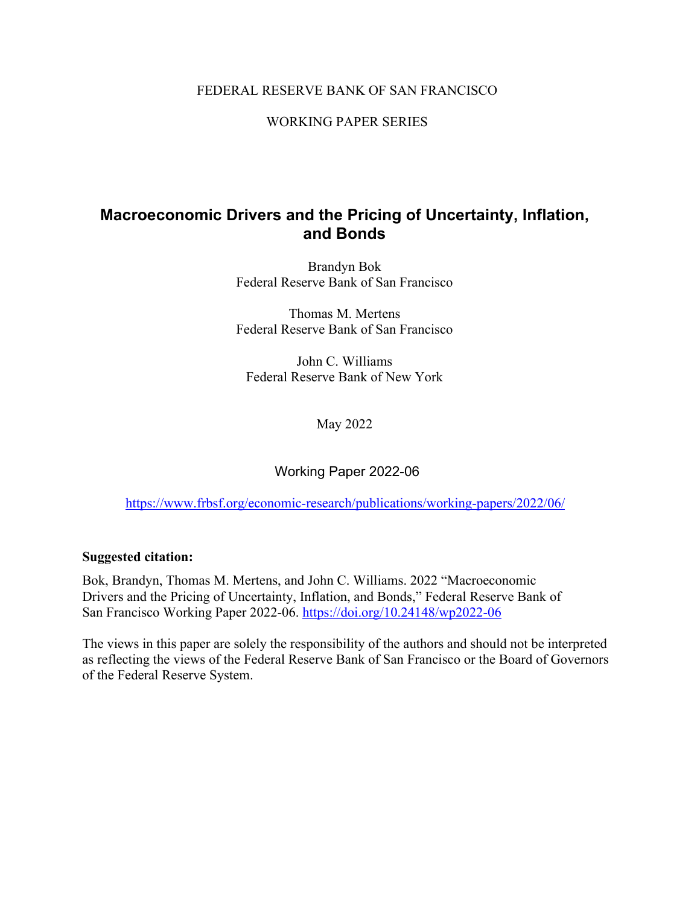### FEDERAL RESERVE BANK OF SAN FRANCISCO

WORKING PAPER SERIES

### **Macroeconomic Drivers and the Pricing of Uncertainty, Inflation, and Bonds**

Brandyn Bok Federal Reserve Bank of San Francisco

Thomas M. Mertens Federal Reserve Bank of San Francisco

John C. Williams Federal Reserve Bank of New York

May 2022

Working Paper 2022-06

<https://www.frbsf.org/economic-research/publications/working-papers/2022/06/>

### **Suggested citation:**

Bok, Brandyn, Thomas M. Mertens, and John C. Williams. 2022 "Macroeconomic Drivers and the Pricing of Uncertainty, Inflation, and Bonds," Federal Reserve Bank of San Francisco Working Paper 2022-06. https://doi.org/10.24148/wp2022-06

The views in this paper are solely the responsibility of the authors and should not be interpreted as reflecting the views of the Federal Reserve Bank of San Francisco or the Board of Governors of the Federal Reserve System.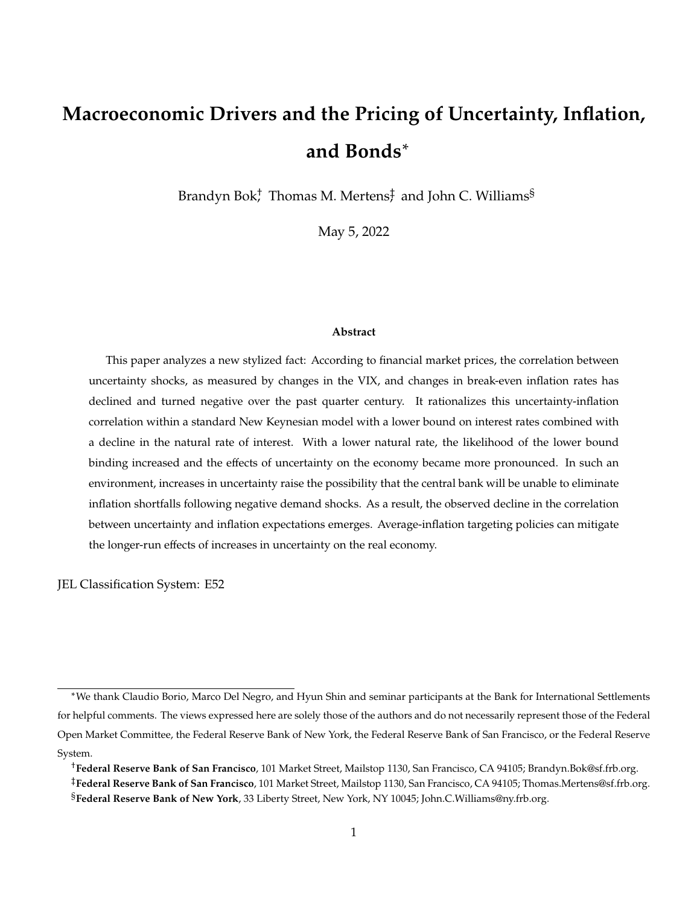# <span id="page-1-0"></span>**Macroeconomic Drivers and the Pricing of Uncertainty, Inflation, and Bonds**<sup>∗</sup>

Brandyn Bok $^{\dagger}$  Thomas M. Mertens $_7^{\dagger}$  and John C. Williams $^{\S}$ 

May 5, 2022

#### **Abstract**

This paper analyzes a new stylized fact: According to financial market prices, the correlation between uncertainty shocks, as measured by changes in the VIX, and changes in break-even inflation rates has declined and turned negative over the past quarter century. It rationalizes this uncertainty-inflation correlation within a standard New Keynesian model with a lower bound on interest rates combined with a decline in the natural rate of interest. With a lower natural rate, the likelihood of the lower bound binding increased and the effects of uncertainty on the economy became more pronounced. In such an environment, increases in uncertainty raise the possibility that the central bank will be unable to eliminate inflation shortfalls following negative demand shocks. As a result, the observed decline in the correlation between uncertainty and inflation expectations emerges. Average-inflation targeting policies can mitigate the longer-run effects of increases in uncertainty on the real economy.

JEL Classification System: E52

<sup>∗</sup>We thank Claudio Borio, Marco Del Negro, and Hyun Shin and seminar participants at the Bank for International Settlements for helpful comments. The views expressed here are solely those of the authors and do not necessarily represent those of the Federal Open Market Committee, the Federal Reserve Bank of New York, the Federal Reserve Bank of San Francisco, or the Federal Reserve System.

<sup>†</sup>**Federal Reserve Bank of San Francisco**, 101 Market Street, Mailstop 1130, San Francisco, CA 94105; Brandyn.Bok@sf.frb.org. ‡**Federal Reserve Bank of San Francisco**, 101 Market Street, Mailstop 1130, San Francisco, CA 94105; Thomas.Mertens@sf.frb.org. §**Federal Reserve Bank of New York**, 33 Liberty Street, New York, NY 10045; John.C.Williams@ny.frb.org.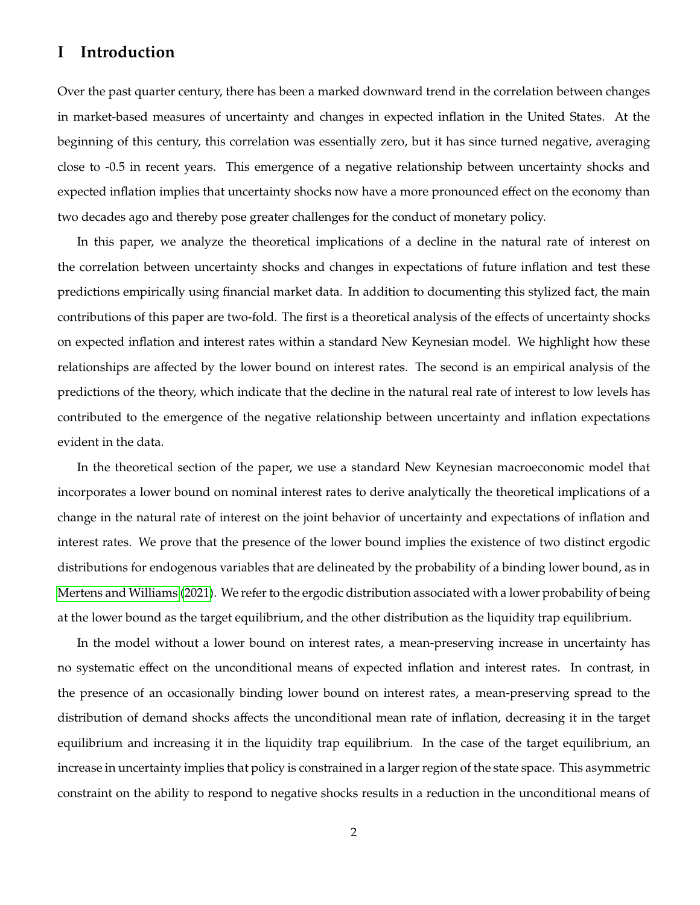### **I Introduction**

Over the past quarter century, there has been a marked downward trend in the correlation between changes in market-based measures of uncertainty and changes in expected inflation in the United States. At the beginning of this century, this correlation was essentially zero, but it has since turned negative, averaging close to -0.5 in recent years. This emergence of a negative relationship between uncertainty shocks and expected inflation implies that uncertainty shocks now have a more pronounced effect on the economy than two decades ago and thereby pose greater challenges for the conduct of monetary policy.

In this paper, we analyze the theoretical implications of a decline in the natural rate of interest on the correlation between uncertainty shocks and changes in expectations of future inflation and test these predictions empirically using financial market data. In addition to documenting this stylized fact, the main contributions of this paper are two-fold. The first is a theoretical analysis of the effects of uncertainty shocks on expected inflation and interest rates within a standard New Keynesian model. We highlight how these relationships are affected by the lower bound on interest rates. The second is an empirical analysis of the predictions of the theory, which indicate that the decline in the natural real rate of interest to low levels has contributed to the emergence of the negative relationship between uncertainty and inflation expectations evident in the data.

In the theoretical section of the paper, we use a standard New Keynesian macroeconomic model that incorporates a lower bound on nominal interest rates to derive analytically the theoretical implications of a change in the natural rate of interest on the joint behavior of uncertainty and expectations of inflation and interest rates. We prove that the presence of the lower bound implies the existence of two distinct ergodic distributions for endogenous variables that are delineated by the probability of a binding lower bound, as in [Mertens and Williams](#page-31-0) [\(2021\)](#page-31-0). We refer to the ergodic distribution associated with a lower probability of being at the lower bound as the target equilibrium, and the other distribution as the liquidity trap equilibrium.

In the model without a lower bound on interest rates, a mean-preserving increase in uncertainty has no systematic effect on the unconditional means of expected inflation and interest rates. In contrast, in the presence of an occasionally binding lower bound on interest rates, a mean-preserving spread to the distribution of demand shocks affects the unconditional mean rate of inflation, decreasing it in the target equilibrium and increasing it in the liquidity trap equilibrium. In the case of the target equilibrium, an increase in uncertainty implies that policy is constrained in a larger region of the state space. This asymmetric constraint on the ability to respond to negative shocks results in a reduction in the unconditional means of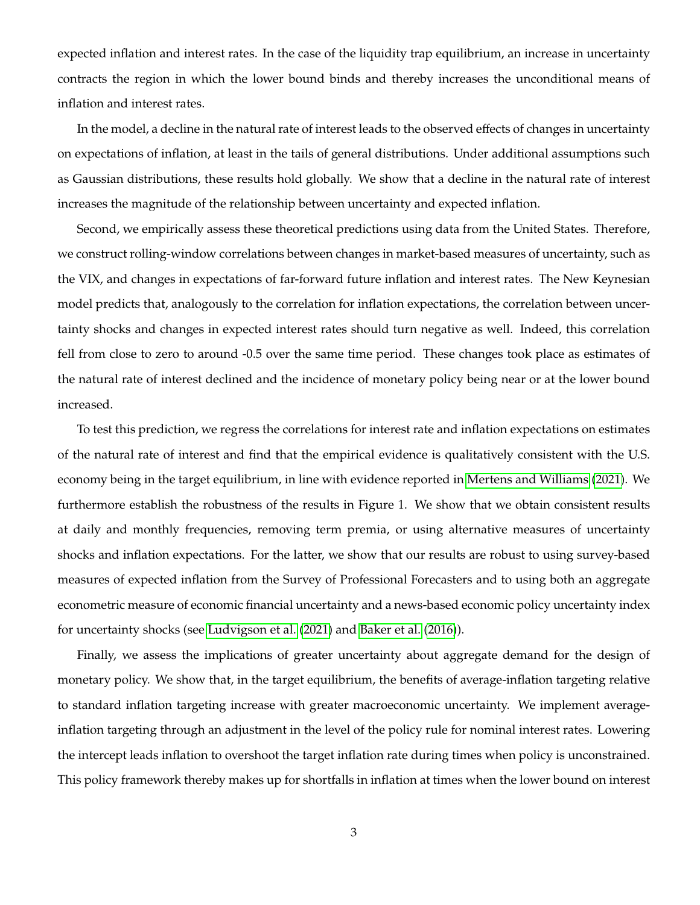expected inflation and interest rates. In the case of the liquidity trap equilibrium, an increase in uncertainty contracts the region in which the lower bound binds and thereby increases the unconditional means of inflation and interest rates.

In the model, a decline in the natural rate of interest leads to the observed effects of changes in uncertainty on expectations of inflation, at least in the tails of general distributions. Under additional assumptions such as Gaussian distributions, these results hold globally. We show that a decline in the natural rate of interest increases the magnitude of the relationship between uncertainty and expected inflation.

Second, we empirically assess these theoretical predictions using data from the United States. Therefore, we construct rolling-window correlations between changes in market-based measures of uncertainty, such as the VIX, and changes in expectations of far-forward future inflation and interest rates. The New Keynesian model predicts that, analogously to the correlation for inflation expectations, the correlation between uncertainty shocks and changes in expected interest rates should turn negative as well. Indeed, this correlation fell from close to zero to around -0.5 over the same time period. These changes took place as estimates of the natural rate of interest declined and the incidence of monetary policy being near or at the lower bound increased.

To test this prediction, we regress the correlations for interest rate and inflation expectations on estimates of the natural rate of interest and find that the empirical evidence is qualitatively consistent with the U.S. economy being in the target equilibrium, in line with evidence reported in [Mertens and Williams](#page-31-0) [\(2021\)](#page-31-0). We furthermore establish the robustness of the results in Figure 1. We show that we obtain consistent results at daily and monthly frequencies, removing term premia, or using alternative measures of uncertainty shocks and inflation expectations. For the latter, we show that our results are robust to using survey-based measures of expected inflation from the Survey of Professional Forecasters and to using both an aggregate econometric measure of economic financial uncertainty and a news-based economic policy uncertainty index for uncertainty shocks (see [Ludvigson et al.](#page-31-1) [\(2021\)](#page-31-1) and [Baker et al.](#page-29-0) [\(2016\)](#page-29-0)).

Finally, we assess the implications of greater uncertainty about aggregate demand for the design of monetary policy. We show that, in the target equilibrium, the benefits of average-inflation targeting relative to standard inflation targeting increase with greater macroeconomic uncertainty. We implement averageinflation targeting through an adjustment in the level of the policy rule for nominal interest rates. Lowering the intercept leads inflation to overshoot the target inflation rate during times when policy is unconstrained. This policy framework thereby makes up for shortfalls in inflation at times when the lower bound on interest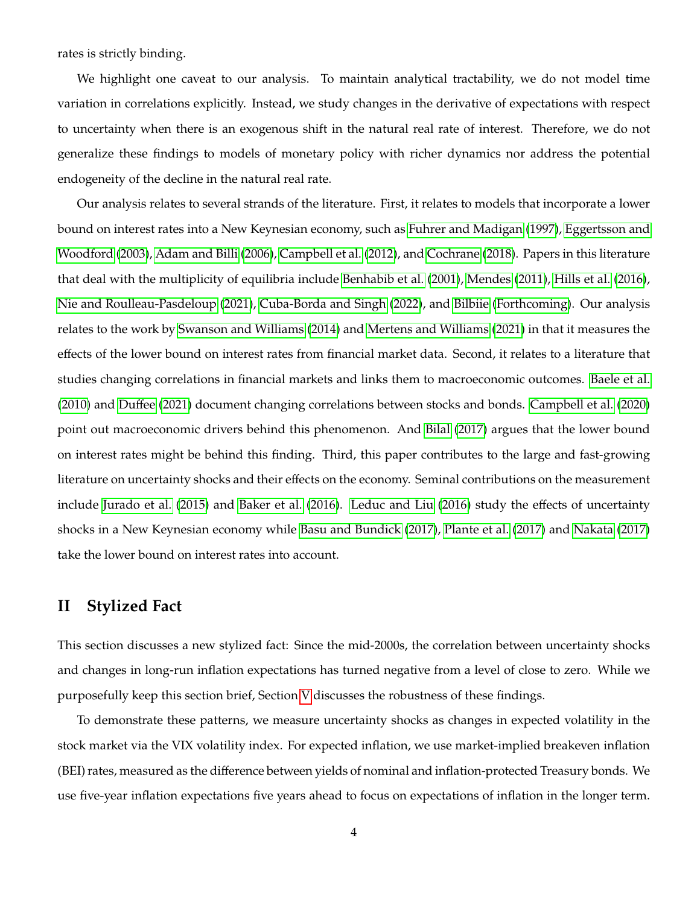rates is strictly binding.

We highlight one caveat to our analysis. To maintain analytical tractability, we do not model time variation in correlations explicitly. Instead, we study changes in the derivative of expectations with respect to uncertainty when there is an exogenous shift in the natural real rate of interest. Therefore, we do not generalize these findings to models of monetary policy with richer dynamics nor address the potential endogeneity of the decline in the natural real rate.

Our analysis relates to several strands of the literature. First, it relates to models that incorporate a lower bound on interest rates into a New Keynesian economy, such as [Fuhrer and Madigan](#page-30-0) [\(1997\)](#page-30-0), [Eggertsson and](#page-30-1) [Woodford](#page-30-1) [\(2003\)](#page-30-1), [Adam and Billi](#page-29-1) [\(2006\)](#page-29-1), [Campbell et al.](#page-29-2) [\(2012\)](#page-29-2), and [Cochrane](#page-30-2) [\(2018\)](#page-30-2). Papers in this literature that deal with the multiplicity of equilibria include [Benhabib et al.](#page-29-3) [\(2001\)](#page-29-3), [Mendes](#page-31-2) [\(2011\)](#page-31-2), [Hills et al.](#page-30-3) [\(2016\)](#page-30-3), [Nie and Roulleau-Pasdeloup](#page-32-0) [\(2021\)](#page-32-0), [Cuba-Borda and Singh](#page-30-4) [\(2022\)](#page-30-4), and [Bilbiie](#page-29-4) [\(Forthcoming\)](#page-29-4). Our analysis relates to the work by [Swanson and Williams](#page-32-1) [\(2014\)](#page-32-1) and [Mertens and Williams](#page-31-0) [\(2021\)](#page-31-0) in that it measures the effects of the lower bound on interest rates from financial market data. Second, it relates to a literature that studies changing correlations in financial markets and links them to macroeconomic outcomes. [Baele et al.](#page-29-5) [\(2010\)](#page-29-5) and [Duffee](#page-30-5) [\(2021\)](#page-30-5) document changing correlations between stocks and bonds. [Campbell et al.](#page-29-6) [\(2020\)](#page-29-6) point out macroeconomic drivers behind this phenomenon. And [Bilal](#page-29-7) [\(2017\)](#page-29-7) argues that the lower bound on interest rates might be behind this finding. Third, this paper contributes to the large and fast-growing literature on uncertainty shocks and their effects on the economy. Seminal contributions on the measurement include [Jurado et al.](#page-31-3) [\(2015\)](#page-31-3) and [Baker et al.](#page-29-0) [\(2016\)](#page-29-0). [Leduc and Liu](#page-31-4) [\(2016\)](#page-31-4) study the effects of uncertainty shocks in a New Keynesian economy while [Basu and Bundick](#page-29-8) [\(2017\)](#page-29-8), [Plante et al.](#page-32-2) [\(2017\)](#page-32-2) and [Nakata](#page-31-5) [\(2017\)](#page-31-5) take the lower bound on interest rates into account.

### <span id="page-4-0"></span>**II Stylized Fact**

This section discusses a new stylized fact: Since the mid-2000s, the correlation between uncertainty shocks and changes in long-run inflation expectations has turned negative from a level of close to zero. While we purposefully keep this section brief, Section [V](#page-25-0) discusses the robustness of these findings.

To demonstrate these patterns, we measure uncertainty shocks as changes in expected volatility in the stock market via the VIX volatility index. For expected inflation, we use market-implied breakeven inflation (BEI) rates, measured as the difference between yields of nominal and inflation-protected Treasury bonds. We use five-year inflation expectations five years ahead to focus on expectations of inflation in the longer term.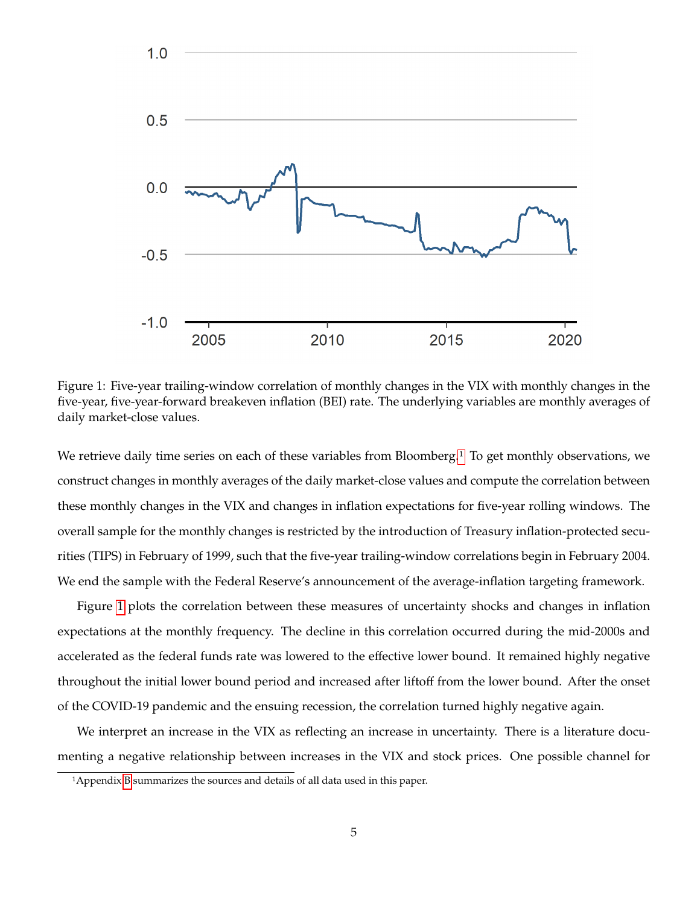

<span id="page-5-0"></span>Figure 1: Five-year trailing-window correlation of monthly changes in the VIX with monthly changes in the five-year, five-year-forward breakeven inflation (BEI) rate. The underlying variables are monthly averages of daily market-close values.

We retrieve daily time series on each of these variables from Bloomberg.<sup>[1](#page-1-0)</sup> To get monthly observations, we construct changes in monthly averages of the daily market-close values and compute the correlation between these monthly changes in the VIX and changes in inflation expectations for five-year rolling windows. The overall sample for the monthly changes is restricted by the introduction of Treasury inflation-protected securities (TIPS) in February of 1999, such that the five-year trailing-window correlations begin in February 2004. We end the sample with the Federal Reserve's announcement of the average-inflation targeting framework.

Figure [1](#page-5-0) plots the correlation between these measures of uncertainty shocks and changes in inflation expectations at the monthly frequency. The decline in this correlation occurred during the mid-2000s and accelerated as the federal funds rate was lowered to the effective lower bound. It remained highly negative throughout the initial lower bound period and increased after liftoff from the lower bound. After the onset of the COVID-19 pandemic and the ensuing recession, the correlation turned highly negative again.

We interpret an increase in the VIX as reflecting an increase in uncertainty. There is a literature documenting a negative relationship between increases in the VIX and stock prices. One possible channel for

<sup>1</sup>Appendix [B](#page-35-0) summarizes the sources and details of all data used in this paper.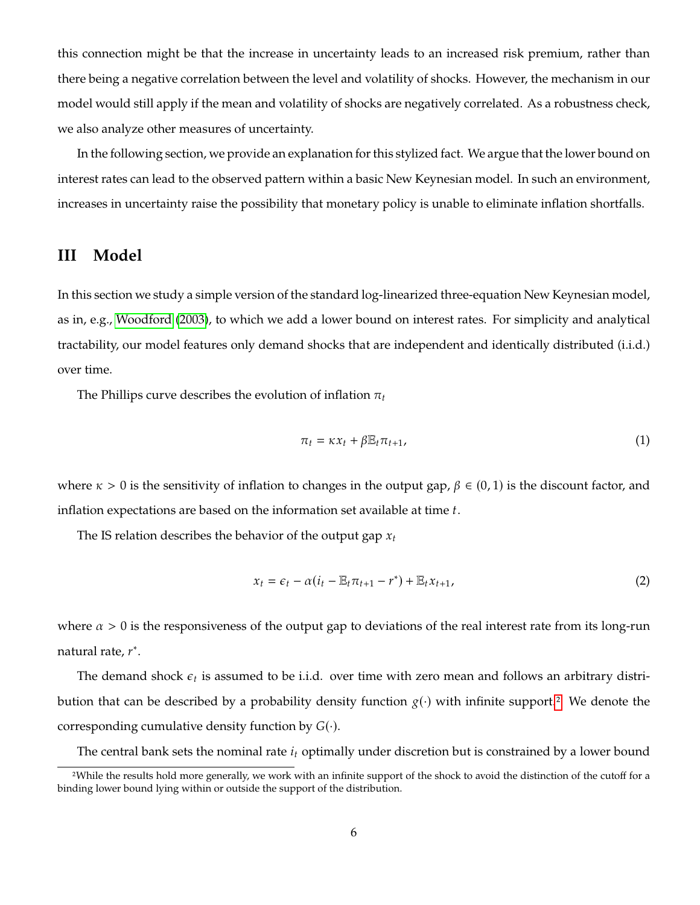this connection might be that the increase in uncertainty leads to an increased risk premium, rather than there being a negative correlation between the level and volatility of shocks. However, the mechanism in our model would still apply if the mean and volatility of shocks are negatively correlated. As a robustness check, we also analyze other measures of uncertainty.

In the following section, we provide an explanation for this stylized fact. We argue that the lower bound on interest rates can lead to the observed pattern within a basic New Keynesian model. In such an environment, increases in uncertainty raise the possibility that monetary policy is unable to eliminate inflation shortfalls.

### **III Model**

In this section we study a simple version of the standard log-linearized three-equation New Keynesian model, as in, e.g., [Woodford](#page-32-3) [\(2003\)](#page-32-3), to which we add a lower bound on interest rates. For simplicity and analytical tractability, our model features only demand shocks that are independent and identically distributed (i.i.d.) over time.

The Phillips curve describes the evolution of inflation  $\pi_t$ 

<span id="page-6-0"></span>
$$
\pi_t = \kappa x_t + \beta \mathbb{E}_t \pi_{t+1}, \tag{1}
$$

where  $\kappa > 0$  is the sensitivity of inflation to changes in the output gap,  $\beta \in (0, 1)$  is the discount factor, and inflation expectations are based on the information set available at time  $t$ .

The IS relation describes the behavior of the output gap  $x_t$ 

<span id="page-6-1"></span>
$$
x_t = \epsilon_t - \alpha (i_t - \mathbb{E}_t \pi_{t+1} - r^*) + \mathbb{E}_t x_{t+1},
$$
\n<sup>(2)</sup>

where  $\alpha > 0$  is the responsiveness of the output gap to deviations of the real interest rate from its long-run natural rate,  $r^*$ .

The demand shock  $\epsilon_t$  is assumed to be i.i.d. over time with zero mean and follows an arbitrary distribution that can be described by a probability density function  $g(\cdot)$  with infinite support.<sup>[2](#page-1-0)</sup> We denote the corresponding cumulative density function by  $G(\cdot)$ .

The central bank sets the nominal rate  $i_t$  optimally under discretion but is constrained by a lower bound

<sup>2</sup>While the results hold more generally, we work with an infinite support of the shock to avoid the distinction of the cutoff for a binding lower bound lying within or outside the support of the distribution.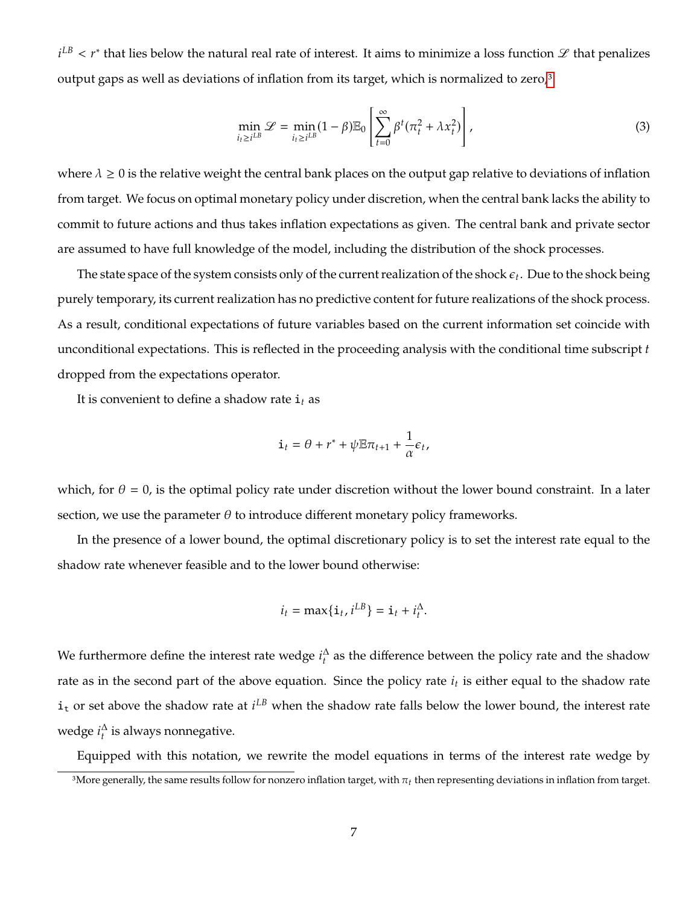$i^{LB} < r^*$  that lies below the natural real rate of interest. It aims to minimize a loss function  $\mathscr L$  that penalizes output gaps as well as deviations of inflation from its target, which is normalized to zero,<sup>[3](#page-1-0)</sup>

$$
\min_{i_t \ge i^{LB}} \mathcal{L} = \min_{i_t \ge i^{LB}} (1 - \beta) \mathbb{E}_0 \left[ \sum_{t=0}^{\infty} \beta^t (\pi_t^2 + \lambda x_t^2) \right],
$$
\n(3)

where  $\lambda \geq 0$  is the relative weight the central bank places on the output gap relative to deviations of inflation from target. We focus on optimal monetary policy under discretion, when the central bank lacks the ability to commit to future actions and thus takes inflation expectations as given. The central bank and private sector are assumed to have full knowledge of the model, including the distribution of the shock processes.

The state space of the system consists only of the current realization of the shock  $\epsilon_t.$  Due to the shock being purely temporary, its current realization has no predictive content for future realizations of the shock process. As a result, conditional expectations of future variables based on the current information set coincide with unconditional expectations. This is reflected in the proceeding analysis with the conditional time subscript  $t$ dropped from the expectations operator.

It is convenient to define a shadow rate  $\mathbf{i}_t$  as

$$
\mathbf{i}_t = \theta + r^* + \psi \mathbb{E} \pi_{t+1} + \frac{1}{\alpha} \epsilon_t,
$$

which, for  $\theta = 0$ , is the optimal policy rate under discretion without the lower bound constraint. In a later section, we use the parameter  $\theta$  to introduce different monetary policy frameworks.

In the presence of a lower bound, the optimal discretionary policy is to set the interest rate equal to the shadow rate whenever feasible and to the lower bound otherwise:

$$
i_t = \max\{\mathbf{i}_t, i^{LB}\} = \mathbf{i}_t + i_t^{\Delta}
$$

We furthermore define the interest rate wedge  $i_t^{\Delta}$  as the difference between the policy rate and the shadow rate as in the second part of the above equation. Since the policy rate  $i_t$  is either equal to the shadow rate  $i_t$  or set above the shadow rate at  $i^{LB}$  when the shadow rate falls below the lower bound, the interest rate wedge  $i_t^{\Delta}$  is always nonnegative.

Equipped with this notation, we rewrite the model equations in terms of the interest rate wedge by

<sup>&</sup>lt;sup>3</sup>More generally, the same results follow for nonzero inflation target, with  $\pi_t$  then representing deviations in inflation from target.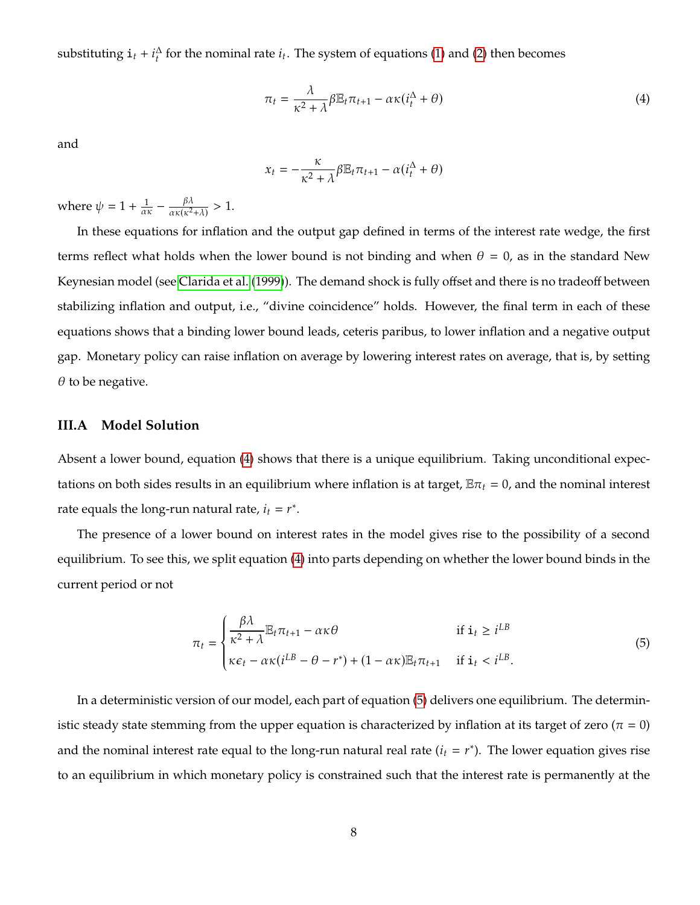substituting  $\mathbf{i}_t + i_t^{\Delta}$  for the nominal rate  $i_t$ . The system of equations [\(1\)](#page-6-0) and [\(2\)](#page-6-1) then becomes

<span id="page-8-0"></span>
$$
\pi_t = \frac{\lambda}{\kappa^2 + \lambda} \beta \mathbb{E}_t \pi_{t+1} - \alpha \kappa (i_t^{\Delta} + \theta)
$$
\n(4)

and

$$
x_t = -\frac{\kappa}{\kappa^2 + \lambda} \beta \mathbb{E}_t \pi_{t+1} - \alpha (\dot{i}_t^{\Delta} + \theta)
$$

where  $\psi = 1 + \frac{1}{\alpha \kappa} - \frac{\beta \lambda}{\alpha \kappa (\kappa^2)}$  $\frac{P^{\lambda}}{\alpha \kappa (\kappa^2 + \lambda)} > 1.$ 

In these equations for inflation and the output gap defined in terms of the interest rate wedge, the first terms reflect what holds when the lower bound is not binding and when  $\theta = 0$ , as in the standard New Keynesian model (see [Clarida et al.](#page-29-9) [\(1999\)](#page-29-9)). The demand shock is fully offset and there is no tradeoff between stabilizing inflation and output, i.e., "divine coincidence" holds. However, the final term in each of these equations shows that a binding lower bound leads, ceteris paribus, to lower inflation and a negative output gap. Monetary policy can raise inflation on average by lowering interest rates on average, that is, by setting  $\theta$  to be negative.

#### **III.A Model Solution**

Absent a lower bound, equation [\(4\)](#page-8-0) shows that there is a unique equilibrium. Taking unconditional expectations on both sides results in an equilibrium where inflation is at target,  $\mathbb{E}\pi_t = 0$ , and the nominal interest rate equals the long-run natural rate,  $i_t = r^*$ .

The presence of a lower bound on interest rates in the model gives rise to the possibility of a second equilibrium. To see this, we split equation [\(4\)](#page-8-0) into parts depending on whether the lower bound binds in the current period or not

<span id="page-8-1"></span>
$$
\pi_{t} = \begin{cases}\n\frac{\beta \lambda}{\kappa^{2} + \lambda} \mathbb{E}_{t} \pi_{t+1} - \alpha \kappa \theta & \text{if } i_{t} \geq i^{LB} \\
\kappa \epsilon_{t} - \alpha \kappa (i^{LB} - \theta - r^{*}) + (1 - \alpha \kappa) \mathbb{E}_{t} \pi_{t+1} & \text{if } i_{t} < i^{LB}.\n\end{cases}
$$
\n(5)

In a deterministic version of our model, each part of equation [\(5\)](#page-8-1) delivers one equilibrium. The deterministic steady state stemming from the upper equation is characterized by inflation at its target of zero ( $\pi = 0$ ) and the nominal interest rate equal to the long-run natural real rate  $(i_t = r^*)$ . The lower equation gives rise to an equilibrium in which monetary policy is constrained such that the interest rate is permanently at the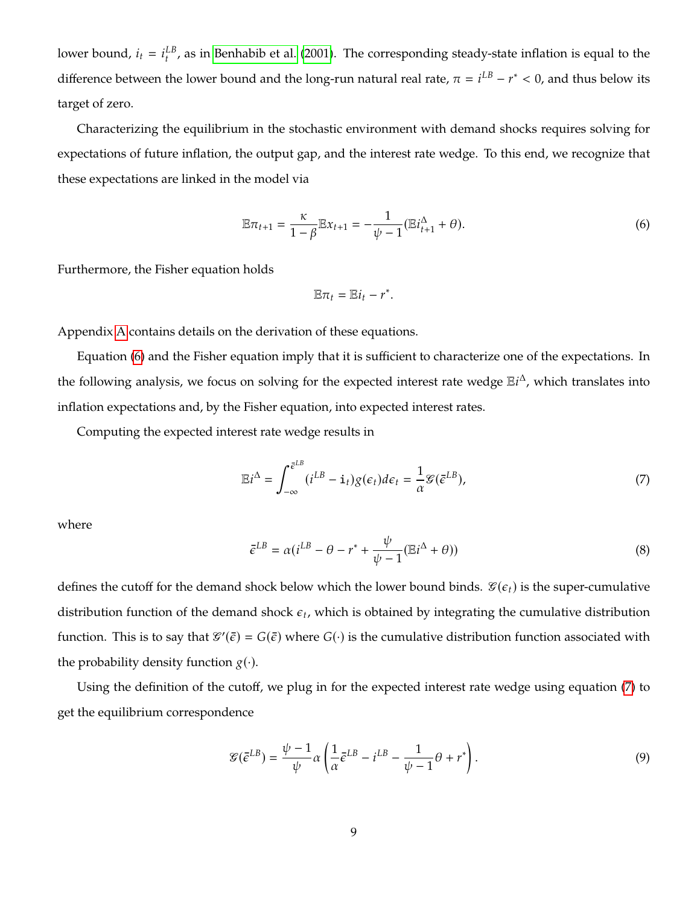lower bound,  $i_t = i_t^{LB}$ , as in [Benhabib et al.](#page-29-3) [\(2001\)](#page-29-3). The corresponding steady-state inflation is equal to the difference between the lower bound and the long-run natural real rate,  $\pi = i^{LB} - r^* < 0$ , and thus below its target of zero.

Characterizing the equilibrium in the stochastic environment with demand shocks requires solving for expectations of future inflation, the output gap, and the interest rate wedge. To this end, we recognize that these expectations are linked in the model via

<span id="page-9-0"></span>
$$
\mathbb{E}\pi_{t+1} = \frac{\kappa}{1-\beta} \mathbb{E}x_{t+1} = -\frac{1}{\psi - 1} (\mathbb{E}i_{t+1}^{\Delta} + \theta).
$$
 (6)

Furthermore, the Fisher equation holds

$$
\mathbb{E}\pi_t=\mathbb{E}i_t-r^*.
$$

Appendix [A](#page-33-0) contains details on the derivation of these equations.

Equation [\(6\)](#page-9-0) and the Fisher equation imply that it is sufficient to characterize one of the expectations. In the following analysis, we focus on solving for the expected interest rate wedge  $E_i^{\Delta}$ , which translates into inflation expectations and, by the Fisher equation, into expected interest rates.

Computing the expected interest rate wedge results in

<span id="page-9-1"></span>
$$
\mathbb{E}i^{\Delta} = \int_{-\infty}^{\bar{\epsilon}^{LB}} (i^{LB} - \mathbf{i}_{t}) g(\epsilon_{t}) d\epsilon_{t} = \frac{1}{\alpha} \mathcal{G}(\bar{\epsilon}^{LB}), \qquad (7)
$$

where

$$
\bar{\epsilon}^{LB} = \alpha (i^{LB} - \theta - r^* + \frac{\psi}{\psi - 1} (\mathbb{E}i^{\Delta} + \theta))
$$
\n(8)

defines the cutoff for the demand shock below which the lower bound binds.  $\mathcal{C}(\epsilon_t)$  is the super-cumulative distribution function of the demand shock  $\epsilon_t$ , which is obtained by integrating the cumulative distribution function. This is to say that  $\mathscr{G}'(\bar{\epsilon}) = G(\bar{\epsilon})$  where  $G(\cdot)$  is the cumulative distribution function associated with the probability density function  $g(\cdot)$ .

Using the definition of the cutoff, we plug in for the expected interest rate wedge using equation [\(7\)](#page-9-1) to get the equilibrium correspondence

<span id="page-9-2"></span>
$$
\mathcal{G}(\bar{\epsilon}^{LB}) = \frac{\psi - 1}{\psi} \alpha \left( \frac{1}{\alpha} \bar{\epsilon}^{LB} - i^{LB} - \frac{1}{\psi - 1} \theta + r^* \right). \tag{9}
$$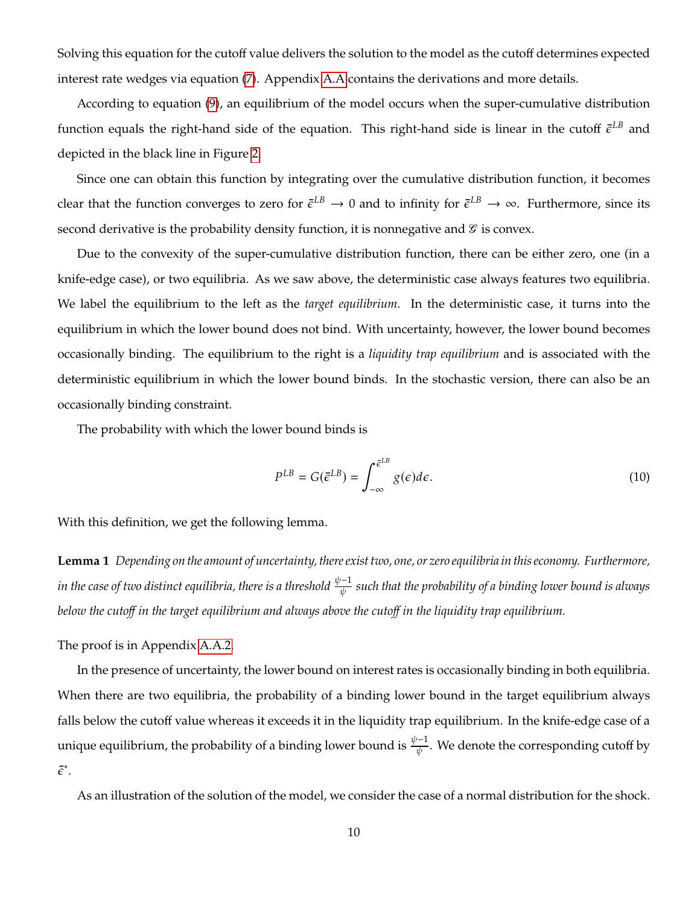Solving this equation for the cutoff value delivers the solution to the model as the cutoff determines expected interest rate wedges via equation [\(7\)](#page-9-1). Appendix [A.A](#page-33-1) contains the derivations and more details.

According to equation [\(9\)](#page-9-2), an equilibrium of the model occurs when the super-cumulative distribution function equals the right-hand side of the equation. This right-hand side is linear in the cutoff  $\bar{\epsilon}^{LB}$  and depicted in the black line in Figure [2.](#page-11-0)

Since one can obtain this function by integrating over the cumulative distribution function, it becomes clear that the function converges to zero for  $\bar{\epsilon}^{LB}\to 0$  and to infinity for  $\bar{\epsilon}^{LB}\to \infty$ . Furthermore, since its second derivative is the probability density function, it is nonnegative and  $\mathcal G$  is convex.

Due to the convexity of the super-cumulative distribution function, there can be either zero, one (in a knife-edge case), or two equilibria. As we saw above, the deterministic case always features two equilibria. We label the equilibrium to the left as the *target equilibrium*. In the deterministic case, it turns into the equilibrium in which the lower bound does not bind. With uncertainty, however, the lower bound becomes occasionally binding. The equilibrium to the right is a *liquidity trap equilibrium* and is associated with the deterministic equilibrium in which the lower bound binds. In the stochastic version, there can also be an occasionally binding constraint.

The probability with which the lower bound binds is

$$
P^{LB} = G(\bar{e}^{LB}) = \int_{-\infty}^{\bar{e}^{LB}} g(\epsilon) d\epsilon.
$$
 (10)

With this definition, we get the following lemma.

**Lemma 1** *Depending on the amount of uncertainty, there exist two, one, or zero equilibria in this economy. Furthermore,* in the case of two distinct equilibria, there is a threshold  $\frac{\psi-1}{\psi}$  such that the probability of a binding lower bound is always *below the cutoff in the target equilibrium and always above the cutoff in the liquidity trap equilibrium.*

The proof is in Appendix [A.A.2.](#page-33-2)

In the presence of uncertainty, the lower bound on interest rates is occasionally binding in both equilibria. When there are two equilibria, the probability of a binding lower bound in the target equilibrium always falls below the cutoff value whereas it exceeds it in the liquidity trap equilibrium. In the knife-edge case of a unique equilibrium, the probability of a binding lower bound is  $\frac{\psi-1}{\psi}$ . We denote the corresponding cutoff by  $\bar{\epsilon}^*$ .

As an illustration of the solution of the model, we consider the case of a normal distribution for the shock.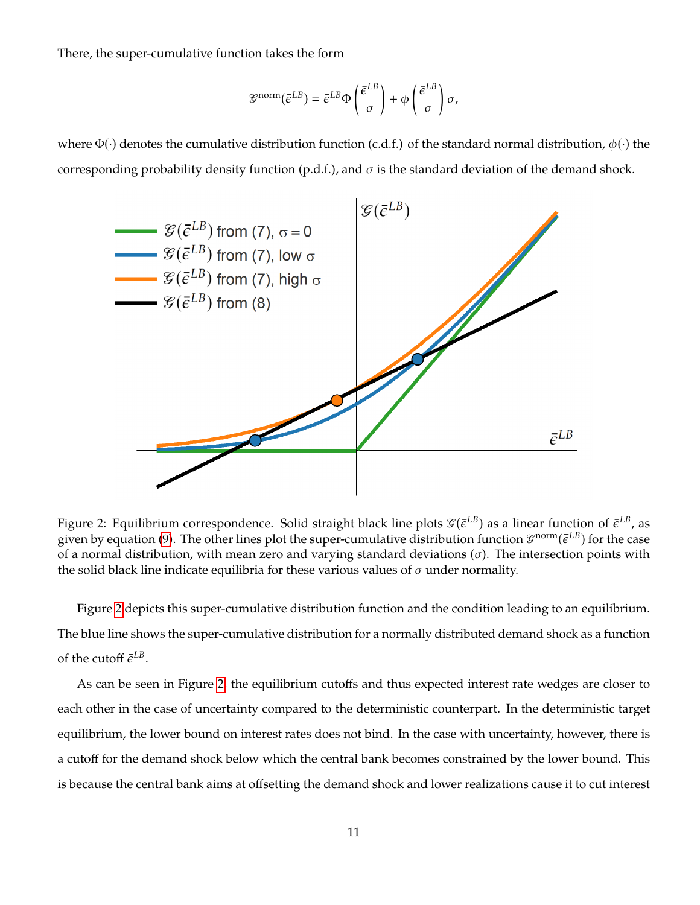There, the super-cumulative function takes the form

$$
\mathcal{G}^{\text{norm}}(\bar{\epsilon}^{LB}) = \bar{\epsilon}^{LB} \Phi\left(\frac{\bar{\epsilon}^{LB}}{\sigma}\right) + \phi\left(\frac{\bar{\epsilon}^{LB}}{\sigma}\right) \sigma,
$$

where  $\Phi(\cdot)$  denotes the cumulative distribution function (c.d.f.) of the standard normal distribution,  $\phi(\cdot)$  the corresponding probability density function (p.d.f.), and  $\sigma$  is the standard deviation of the demand shock.



<span id="page-11-0"></span>Figure 2: Equilibrium correspondence. Solid straight black line plots  $\mathcal{C}(\bar{\epsilon}^{LB})$  as a linear function of  $\bar{\epsilon}^{LB}$ , as given by equation [\(9\)](#page-9-2). The other lines plot the super-cumulative distribution function  $\mathcal{G}^{norm}(\bar{\epsilon}^{LB})$  for the case of a normal distribution, with mean zero and varying standard deviations  $(\sigma)$ . The intersection points with the solid black line indicate equilibria for these various values of  $\sigma$  under normality.

Figure [2](#page-11-0) depicts this super-cumulative distribution function and the condition leading to an equilibrium. The blue line shows the super-cumulative distribution for a normally distributed demand shock as a function of the cutoff  $\bar{\epsilon}^{LB}$ .

As can be seen in Figure [2,](#page-11-0) the equilibrium cutoffs and thus expected interest rate wedges are closer to each other in the case of uncertainty compared to the deterministic counterpart. In the deterministic target equilibrium, the lower bound on interest rates does not bind. In the case with uncertainty, however, there is a cutoff for the demand shock below which the central bank becomes constrained by the lower bound. This is because the central bank aims at offsetting the demand shock and lower realizations cause it to cut interest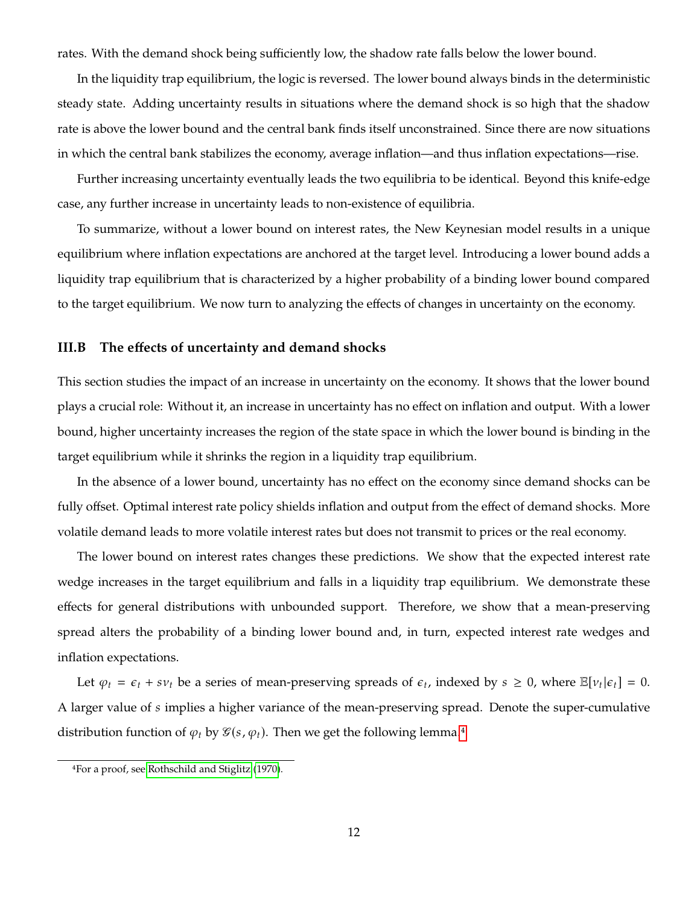rates. With the demand shock being sufficiently low, the shadow rate falls below the lower bound.

In the liquidity trap equilibrium, the logic is reversed. The lower bound always binds in the deterministic steady state. Adding uncertainty results in situations where the demand shock is so high that the shadow rate is above the lower bound and the central bank finds itself unconstrained. Since there are now situations in which the central bank stabilizes the economy, average inflation—and thus inflation expectations—rise.

Further increasing uncertainty eventually leads the two equilibria to be identical. Beyond this knife-edge case, any further increase in uncertainty leads to non-existence of equilibria.

To summarize, without a lower bound on interest rates, the New Keynesian model results in a unique equilibrium where inflation expectations are anchored at the target level. Introducing a lower bound adds a liquidity trap equilibrium that is characterized by a higher probability of a binding lower bound compared to the target equilibrium. We now turn to analyzing the effects of changes in uncertainty on the economy.

### **III.B The effects of uncertainty and demand shocks**

This section studies the impact of an increase in uncertainty on the economy. It shows that the lower bound plays a crucial role: Without it, an increase in uncertainty has no effect on inflation and output. With a lower bound, higher uncertainty increases the region of the state space in which the lower bound is binding in the target equilibrium while it shrinks the region in a liquidity trap equilibrium.

In the absence of a lower bound, uncertainty has no effect on the economy since demand shocks can be fully offset. Optimal interest rate policy shields inflation and output from the effect of demand shocks. More volatile demand leads to more volatile interest rates but does not transmit to prices or the real economy.

The lower bound on interest rates changes these predictions. We show that the expected interest rate wedge increases in the target equilibrium and falls in a liquidity trap equilibrium. We demonstrate these effects for general distributions with unbounded support. Therefore, we show that a mean-preserving spread alters the probability of a binding lower bound and, in turn, expected interest rate wedges and inflation expectations.

Let  $\varphi_t = \varepsilon_t + s \nu_t$  be a series of mean-preserving spreads of  $\varepsilon_t$ , indexed by  $s \ge 0$ , where  $\mathbb{E}[\nu_t | \varepsilon_t] = 0$ . A larger value of  $s$  implies a higher variance of the mean-preserving spread. Denote the super-cumulative distribution function of  $\varphi_t$  by  $\mathcal{G}(s, \varphi_t)$ . Then we get the following lemma.<sup>[4](#page-1-0)</sup>

<sup>4</sup>For a proof, see [Rothschild and Stiglitz](#page-32-4) [\(1970\)](#page-32-4).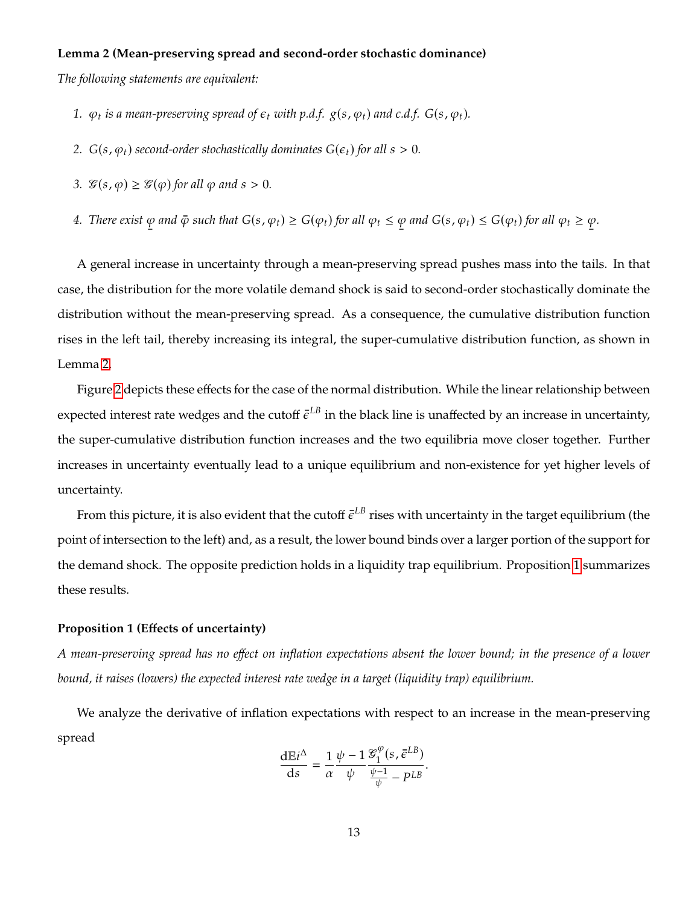#### **Lemma 2 (Mean-preserving spread and second-order stochastic dominance)**

*The following statements are equivalent:*

- 1.  $\varphi_t$  is a mean-preserving spread of  $\epsilon_t$  with p.d.f.  $g(s, \varphi_t)$  and c.d.f.  $G(s, \varphi_t)$ .
- 2.  $G(s, \varphi_t)$  *second-order stochastically dominates*  $G(\epsilon_t)$  *for all*  $s > 0$ *.*
- *3.*  $\mathcal{G}(s, \varphi) \geq \mathcal{G}(\varphi)$  for all  $\varphi$  and  $s > 0$ .
- <span id="page-13-0"></span>*4. There exist*  $\varphi$  and  $\bar{\varphi}$  such that  $G(s, \varphi_t) \geq G(\varphi_t)$  for all  $\varphi_t \geq \varphi$  and  $G(s, \varphi_t) \leq G(\varphi_t)$  for all  $\varphi_t \geq \varphi$  $\varphi$ .

A general increase in uncertainty through a mean-preserving spread pushes mass into the tails. In that case, the distribution for the more volatile demand shock is said to second-order stochastically dominate the distribution without the mean-preserving spread. As a consequence, the cumulative distribution function rises in the left tail, thereby increasing its integral, the super-cumulative distribution function, as shown in Lemma [2.](#page-13-0)

Figure [2](#page-11-0) depicts these effects for the case of the normal distribution. While the linear relationship between expected interest rate wedges and the cutoff  $\bar{\epsilon}^{LB}$  in the black line is unaffected by an increase in uncertainty, the super-cumulative distribution function increases and the two equilibria move closer together. Further increases in uncertainty eventually lead to a unique equilibrium and non-existence for yet higher levels of uncertainty.

From this picture, it is also evident that the cutoff  $\bar{\epsilon}^{LB}$  rises with uncertainty in the target equilibrium (the point of intersection to the left) and, as a result, the lower bound binds over a larger portion of the support for the demand shock. The opposite prediction holds in a liquidity trap equilibrium. Proposition [1](#page-13-1) summarizes these results.

#### <span id="page-13-1"></span>**Proposition 1 (Effects of uncertainty)**

*A mean-preserving spread has no effect on inflation expectations absent the lower bound; in the presence of a lower bound, it raises (lowers) the expected interest rate wedge in a target (liquidity trap) equilibrium.*

We analyze the derivative of inflation expectations with respect to an increase in the mean-preserving spread

$$
\frac{\mathrm{d}\mathbb{E}i^{\Delta}}{\mathrm{d}s} = \frac{1}{\alpha} \frac{\psi - 1}{\psi} \frac{\mathcal{G}_1^{\varphi}(s, \bar{\epsilon}^{LB})}{\frac{\psi - 1}{\psi} - p^{LB}}.
$$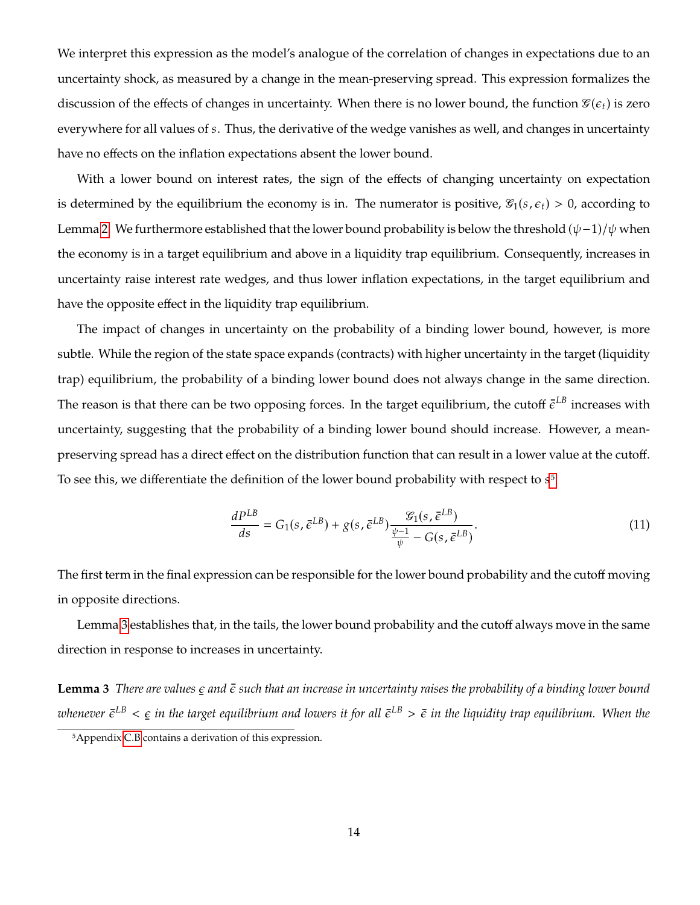We interpret this expression as the model's analogue of the correlation of changes in expectations due to an uncertainty shock, as measured by a change in the mean-preserving spread. This expression formalizes the discussion of the effects of changes in uncertainty. When there is no lower bound, the function  $\mathcal{C}(\epsilon_t)$  is zero everywhere for all values of s. Thus, the derivative of the wedge vanishes as well, and changes in uncertainty have no effects on the inflation expectations absent the lower bound.

With a lower bound on interest rates, the sign of the effects of changing uncertainty on expectation is determined by the equilibrium the economy is in. The numerator is positive,  $\mathcal{G}_1(s, \epsilon_t) > 0$ , according to Lemma [2.](#page-13-0) We furthermore established that the lower bound probability is below the threshold  $(\psi-1)/\psi$  when the economy is in a target equilibrium and above in a liquidity trap equilibrium. Consequently, increases in uncertainty raise interest rate wedges, and thus lower inflation expectations, in the target equilibrium and have the opposite effect in the liquidity trap equilibrium.

The impact of changes in uncertainty on the probability of a binding lower bound, however, is more subtle. While the region of the state space expands (contracts) with higher uncertainty in the target (liquidity trap) equilibrium, the probability of a binding lower bound does not always change in the same direction. The reason is that there can be two opposing forces. In the target equilibrium, the cutoff  $\bar{\epsilon}^{LB}$  increases with uncertainty, suggesting that the probability of a binding lower bound should increase. However, a meanpreserving spread has a direct effect on the distribution function that can result in a lower value at the cutoff. To see this, we differentiate the definition of the lower bound probability with respect to  $s<sup>5</sup>$  $s<sup>5</sup>$  $s<sup>5</sup>$ 

$$
\frac{dP^{LB}}{ds} = G_1(s, \bar{\epsilon}^{LB}) + g(s, \bar{\epsilon}^{LB}) \frac{\mathcal{G}_1(s, \bar{\epsilon}^{LB})}{\frac{\psi - 1}{\psi} - G(s, \bar{\epsilon}^{LB})}.
$$
(11)

The first term in the final expression can be responsible for the lower bound probability and the cutoff moving in opposite directions.

Lemma [3](#page-14-0) establishes that, in the tails, the lower bound probability and the cutoff always move in the same direction in response to increases in uncertainty.

<span id="page-14-0"></span> $\tt Lemma 3$  There are values  $\epsilon$  and  $\bar{\epsilon}$  such that an increase in uncertainty raises the probability of a binding lower bound whenever  $\bar{\epsilon}^{LB} < \epsilon$  in the target equilibrium and lowers it for all  $\bar{\epsilon}^{LB} > \bar{\epsilon}$  in the liquidity trap equilibrium. When the

<sup>5</sup>Appendix [C.B](#page-36-0) contains a derivation of this expression.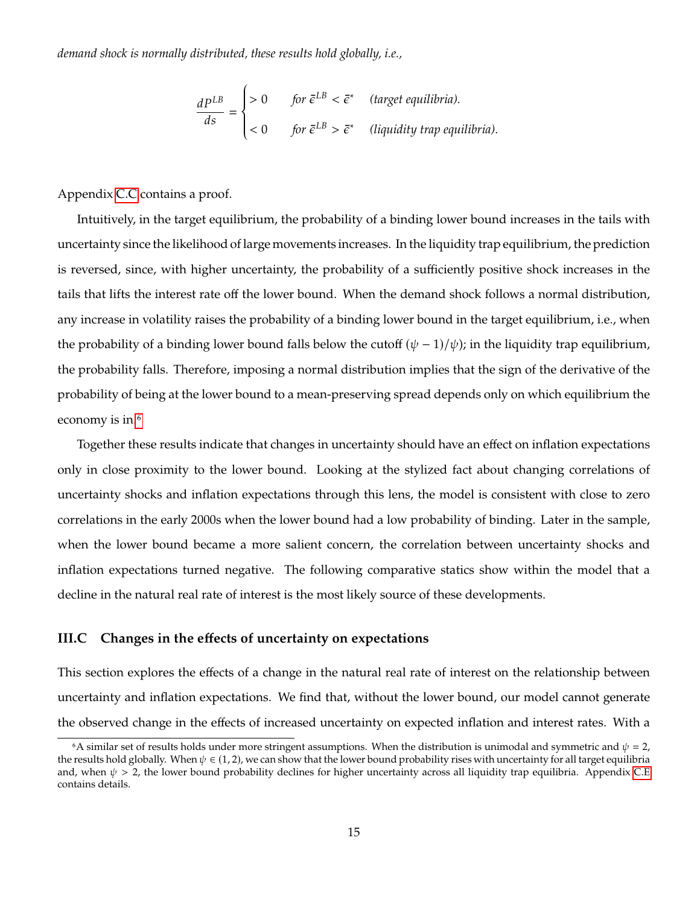*demand shock is normally distributed, these results hold globally, i.e.,*

$$
\frac{dP^{LB}}{ds} = \begin{cases}\n>0 & \text{for } \bar{\epsilon}^{LB} < \bar{\epsilon}^* \text{ (target equilibria).} \\
< 0 & \text{for } \bar{\epsilon}^{LB} > \bar{\epsilon}^* \text{ (liquidity trap equilibria).} \n\end{cases}
$$

Appendix [C.C](#page-37-0) contains a proof.

Intuitively, in the target equilibrium, the probability of a binding lower bound increases in the tails with uncertainty since the likelihood of large movements increases. In the liquidity trap equilibrium, the prediction is reversed, since, with higher uncertainty, the probability of a sufficiently positive shock increases in the tails that lifts the interest rate off the lower bound. When the demand shock follows a normal distribution, any increase in volatility raises the probability of a binding lower bound in the target equilibrium, i.e., when the probability of a binding lower bound falls below the cutoff  $(\psi - 1)/\psi$ ; in the liquidity trap equilibrium, the probability falls. Therefore, imposing a normal distribution implies that the sign of the derivative of the probability of being at the lower bound to a mean-preserving spread depends only on which equilibrium the economy is in.<sup>[6](#page-1-0)</sup>

Together these results indicate that changes in uncertainty should have an effect on inflation expectations only in close proximity to the lower bound. Looking at the stylized fact about changing correlations of uncertainty shocks and inflation expectations through this lens, the model is consistent with close to zero correlations in the early 2000s when the lower bound had a low probability of binding. Later in the sample, when the lower bound became a more salient concern, the correlation between uncertainty shocks and inflation expectations turned negative. The following comparative statics show within the model that a decline in the natural real rate of interest is the most likely source of these developments.

#### **III.C Changes in the effects of uncertainty on expectations**

This section explores the effects of a change in the natural real rate of interest on the relationship between uncertainty and inflation expectations. We find that, without the lower bound, our model cannot generate the observed change in the effects of increased uncertainty on expected inflation and interest rates. With a

<sup>&</sup>lt;sup>6</sup>A similar set of results holds under more stringent assumptions. When the distribution is unimodal and symmetric and  $\psi = 2$ , the results hold globally. When  $\psi \in (1, 2)$ , we can show that the lower bound probability rises with uncertainty for all target equilibria and, when  $\psi > 2$ , the lower bound probability declines for higher uncertainty across all liquidity trap equilibria. Appendix [C.E](#page-40-0) contains details.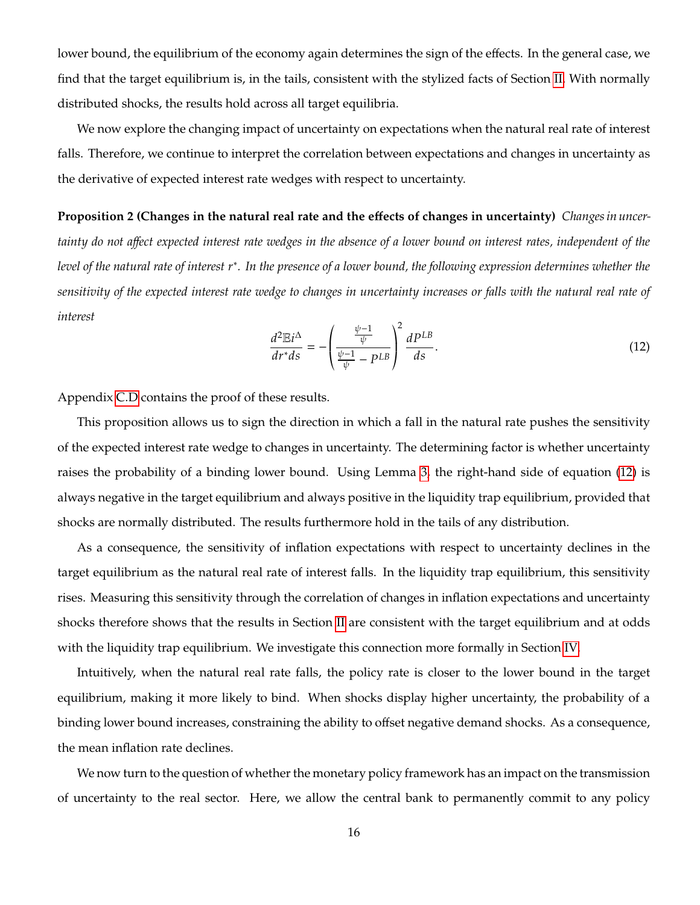lower bound, the equilibrium of the economy again determines the sign of the effects. In the general case, we find that the target equilibrium is, in the tails, consistent with the stylized facts of Section [II.](#page-4-0) With normally distributed shocks, the results hold across all target equilibria.

We now explore the changing impact of uncertainty on expectations when the natural real rate of interest falls. Therefore, we continue to interpret the correlation between expectations and changes in uncertainty as the derivative of expected interest rate wedges with respect to uncertainty.

**Proposition 2 (Changes in the natural real rate and the effects of changes in uncertainty)** *Changes in uncertainty do not affect expected interest rate wedges in the absence of a lower bound on interest rates, independent of the* level of the natural rate of interest r\*. In the presence of a lower bound, the following expression determines whether the *sensitivity of the expected interest rate wedge to changes in uncertainty increases or falls with the natural real rate of interest*

<span id="page-16-0"></span>
$$
\frac{d^2\mathbb{E}i^{\Delta}}{dr^*ds} = -\left(\frac{\frac{\psi-1}{\psi}}{\frac{\psi-1}{\psi}-p^{LB}}\right)^2 \frac{dP^{LB}}{ds}.
$$
\n(12)

Appendix [C.D](#page-39-0) contains the proof of these results.

This proposition allows us to sign the direction in which a fall in the natural rate pushes the sensitivity of the expected interest rate wedge to changes in uncertainty. The determining factor is whether uncertainty raises the probability of a binding lower bound. Using Lemma [3,](#page-14-0) the right-hand side of equation [\(12\)](#page-16-0) is always negative in the target equilibrium and always positive in the liquidity trap equilibrium, provided that shocks are normally distributed. The results furthermore hold in the tails of any distribution.

As a consequence, the sensitivity of inflation expectations with respect to uncertainty declines in the target equilibrium as the natural real rate of interest falls. In the liquidity trap equilibrium, this sensitivity rises. Measuring this sensitivity through the correlation of changes in inflation expectations and uncertainty shocks therefore shows that the results in Section [II](#page-4-0) are consistent with the target equilibrium and at odds with the liquidity trap equilibrium. We investigate this connection more formally in Section [IV.](#page-18-0)

Intuitively, when the natural real rate falls, the policy rate is closer to the lower bound in the target equilibrium, making it more likely to bind. When shocks display higher uncertainty, the probability of a binding lower bound increases, constraining the ability to offset negative demand shocks. As a consequence, the mean inflation rate declines.

We now turn to the question of whether the monetary policy framework has an impact on the transmission of uncertainty to the real sector. Here, we allow the central bank to permanently commit to any policy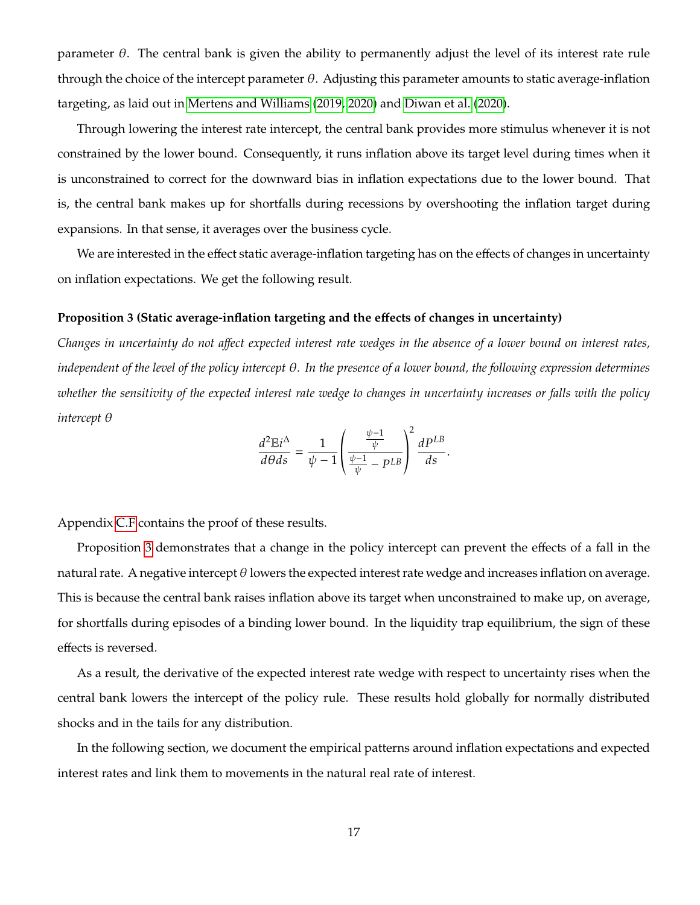parameter  $\theta$ . The central bank is given the ability to permanently adjust the level of its interest rate rule through the choice of the intercept parameter  $\theta$ . Adjusting this parameter amounts to static average-inflation targeting, as laid out in [Mertens and Williams](#page-31-6) [\(2019,](#page-31-6) [2020\)](#page-31-7) and [Diwan et al.](#page-30-6) [\(2020\)](#page-30-6).

Through lowering the interest rate intercept, the central bank provides more stimulus whenever it is not constrained by the lower bound. Consequently, it runs inflation above its target level during times when it is unconstrained to correct for the downward bias in inflation expectations due to the lower bound. That is, the central bank makes up for shortfalls during recessions by overshooting the inflation target during expansions. In that sense, it averages over the business cycle.

We are interested in the effect static average-inflation targeting has on the effects of changes in uncertainty on inflation expectations. We get the following result.

#### <span id="page-17-0"></span>**Proposition 3 (Static average-inflation targeting and the effects of changes in uncertainty)**

*Changes in uncertainty do not affect expected interest rate wedges in the absence of a lower bound on interest rates, independent of the level of the policy intercept*  $\theta$ *. In the presence of a lower bound, the following expression determines whether the sensitivity of the expected interest rate wedge to changes in uncertainty increases or falls with the policy intercept*  $\theta$ 

$$
\frac{d^2 \mathbb{E} i^{\Delta}}{d\theta ds} = \frac{1}{\psi - 1} \left( \frac{\frac{\psi - 1}{\psi}}{\frac{\psi - 1}{\psi} - p^{LB}} \right)^2 \frac{dP^{LB}}{ds}.
$$

Appendix [C.F](#page-41-0) contains the proof of these results.

Proposition [3](#page-17-0) demonstrates that a change in the policy intercept can prevent the effects of a fall in the natural rate. A negative intercept  $\theta$  lowers the expected interest rate wedge and increases inflation on average. This is because the central bank raises inflation above its target when unconstrained to make up, on average, for shortfalls during episodes of a binding lower bound. In the liquidity trap equilibrium, the sign of these effects is reversed.

As a result, the derivative of the expected interest rate wedge with respect to uncertainty rises when the central bank lowers the intercept of the policy rule. These results hold globally for normally distributed shocks and in the tails for any distribution.

In the following section, we document the empirical patterns around inflation expectations and expected interest rates and link them to movements in the natural real rate of interest.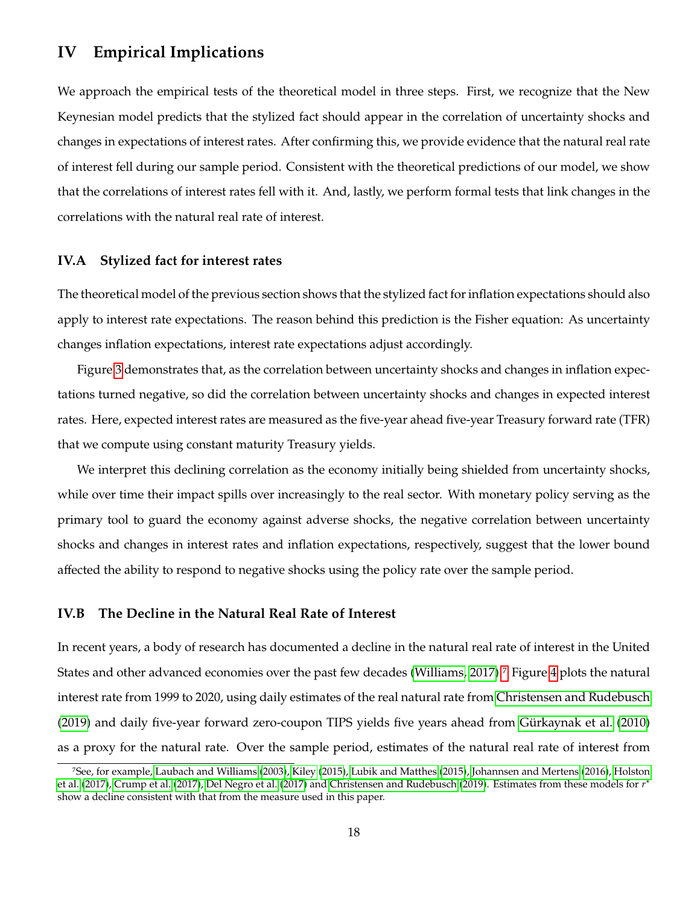### <span id="page-18-0"></span>**IV Empirical Implications**

We approach the empirical tests of the theoretical model in three steps. First, we recognize that the New Keynesian model predicts that the stylized fact should appear in the correlation of uncertainty shocks and changes in expectations of interest rates. After confirming this, we provide evidence that the natural real rate of interest fell during our sample period. Consistent with the theoretical predictions of our model, we show that the correlations of interest rates fell with it. And, lastly, we perform formal tests that link changes in the correlations with the natural real rate of interest.

### **IV.A Stylized fact for interest rates**

The theoretical model of the previous section shows that the stylized fact for inflation expectations should also apply to interest rate expectations. The reason behind this prediction is the Fisher equation: As uncertainty changes inflation expectations, interest rate expectations adjust accordingly.

Figure [3](#page-19-0) demonstrates that, as the correlation between uncertainty shocks and changes in inflation expectations turned negative, so did the correlation between uncertainty shocks and changes in expected interest rates. Here, expected interest rates are measured as the five-year ahead five-year Treasury forward rate (TFR) that we compute using constant maturity Treasury yields.

We interpret this declining correlation as the economy initially being shielded from uncertainty shocks, while over time their impact spills over increasingly to the real sector. With monetary policy serving as the primary tool to guard the economy against adverse shocks, the negative correlation between uncertainty shocks and changes in interest rates and inflation expectations, respectively, suggest that the lower bound affected the ability to respond to negative shocks using the policy rate over the sample period.

#### **IV.B The Decline in the Natural Real Rate of Interest**

In recent years, a body of research has documented a decline in the natural real rate of interest in the United States and other advanced economies over the past few decades [\(Williams, 2017\)](#page-32-5).[7](#page-1-0) Figure [4](#page-20-0) plots the natural interest rate from 1999 to 2020, using daily estimates of the real natural rate from [Christensen and Rudebusch](#page-29-10) [\(2019\)](#page-29-10) and daily five-year forward zero-coupon TIPS yields five years ahead from [Gürkaynak et al.](#page-30-7) [\(2010\)](#page-30-7) as a proxy for the natural rate. Over the sample period, estimates of the natural real rate of interest from

<sup>7</sup>See, for example, [Laubach and Williams](#page-31-8) [\(2003\)](#page-31-8), [Kiley](#page-31-9) [\(2015\)](#page-31-9), [Lubik and Matthes](#page-31-10) [\(2015\)](#page-31-10), [Johannsen and Mertens](#page-31-11) [\(2016\)](#page-31-11), [Holston](#page-30-8) [et al.](#page-30-8) [\(2017\)](#page-30-10), [Crump et al.](#page-30-9) (2017), [Del Negro et al.](#page-30-10) (2017) and [Christensen and Rudebusch](#page-29-10) [\(2019\)](#page-29-10). Estimates from these models for  $r^*$ <br>show a decline consistent with that from the measure used in this paper. show a decline consistent with that from the measure used in this paper.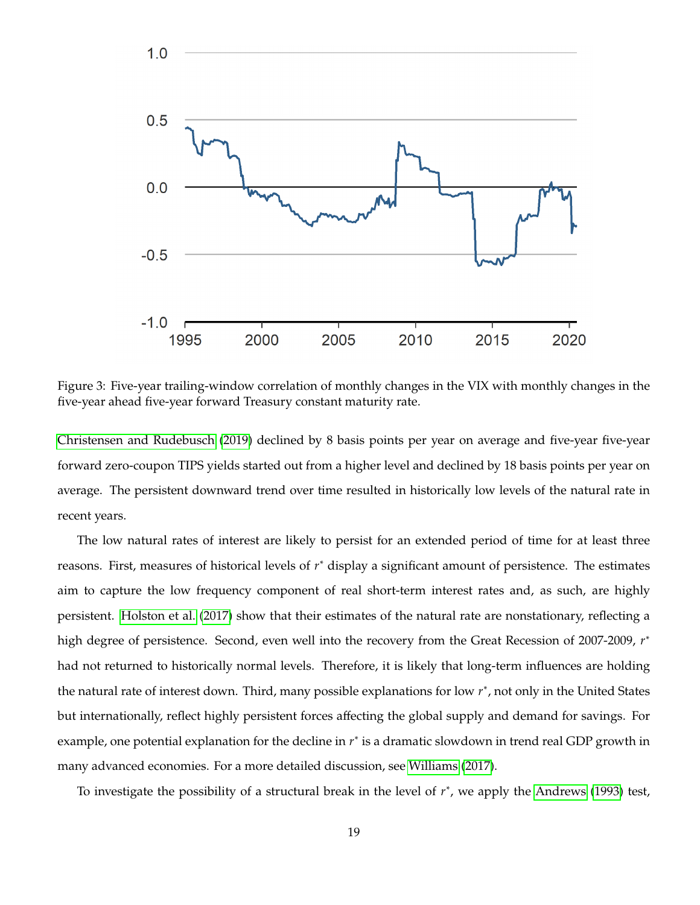

<span id="page-19-0"></span>Figure 3: Five-year trailing-window correlation of monthly changes in the VIX with monthly changes in the five-year ahead five-year forward Treasury constant maturity rate.

[Christensen and Rudebusch](#page-29-10) [\(2019\)](#page-29-10) declined by 8 basis points per year on average and five-year five-year forward zero-coupon TIPS yields started out from a higher level and declined by 18 basis points per year on average. The persistent downward trend over time resulted in historically low levels of the natural rate in recent years.

The low natural rates of interest are likely to persist for an extended period of time for at least three reasons. First, measures of historical levels of  $r^*$  display a significant amount of persistence. The estimates aim to capture the low frequency component of real short-term interest rates and, as such, are highly persistent. [Holston et al.](#page-30-8) [\(2017\)](#page-30-8) show that their estimates of the natural rate are nonstationary, reflecting a high degree of persistence. Second, even well into the recovery from the Great Recession of 2007-2009,  $r^*$ had not returned to historically normal levels. Therefore, it is likely that long-term influences are holding the natural rate of interest down. Third, many possible explanations for low  $r^*$ , not only in the United States but internationally, reflect highly persistent forces affecting the global supply and demand for savings. For example, one potential explanation for the decline in  $r^*$  is a dramatic slowdown in trend real GDP growth in many advanced economies. For a more detailed discussion, see [Williams](#page-32-5) [\(2017\)](#page-32-5).

To investigate the possibility of a structural break in the level of  $r^*$ , we apply the [Andrews](#page-29-11) [\(1993\)](#page-29-11) test,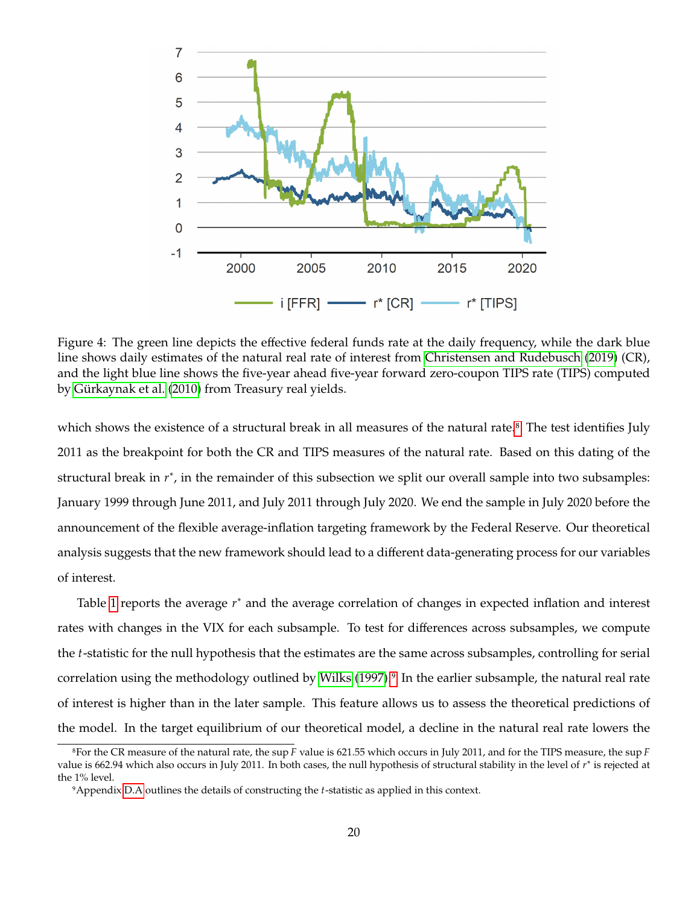

<span id="page-20-0"></span>Figure 4: The green line depicts the effective federal funds rate at the daily frequency, while the dark blue line shows daily estimates of the natural real rate of interest from [Christensen and Rudebusch](#page-29-10) [\(2019\)](#page-29-10) (CR), and the light blue line shows the five-year ahead five-year forward zero-coupon TIPS rate (TIPS) computed by [Gürkaynak et al.](#page-30-7) [\(2010\)](#page-30-7) from Treasury real yields.

which shows the existence of a structural break in all measures of the natural rate.<sup>[8](#page-1-0)</sup> The test identifies July 2011 as the breakpoint for both the CR and TIPS measures of the natural rate. Based on this dating of the structural break in  $r^*$ , in the remainder of this subsection we split our overall sample into two subsamples: January 1999 through June 2011, and July 2011 through July 2020. We end the sample in July 2020 before the announcement of the flexible average-inflation targeting framework by the Federal Reserve. Our theoretical analysis suggests that the new framework should lead to a different data-generating process for our variables of interest.

Table [1](#page-21-0) reports the average  $r^*$  and the average correlation of changes in expected inflation and interest rates with changes in the VIX for each subsample. To test for differences across subsamples, we compute the *t*-statistic for the null hypothesis that the estimates are the same across subsamples, controlling for serial correlation using the methodology outlined by [Wilks](#page-32-6) [\(1997\)](#page-32-6).<sup>[9](#page-1-0)</sup> In the earlier subsample, the natural real rate of interest is higher than in the later sample. This feature allows us to assess the theoretical predictions of the model. In the target equilibrium of our theoretical model, a decline in the natural real rate lowers the

<sup>&</sup>lt;sup>8</sup>For the CR measure of the natural rate, the sup  $F$  value is 621.55 which occurs in July 2011, and for the TIPS measure, the sup  $F$ value is 662.94 which also occurs in July 2011. In both cases, the null hypothesis of structural stability in the level of r<sup>∗</sup> is rejected at the 1% level the 1% level.

<sup>&</sup>lt;sup>9</sup>Appendix [D.A](#page-43-0) outlines the details of constructing the *t*-statistic as applied in this context.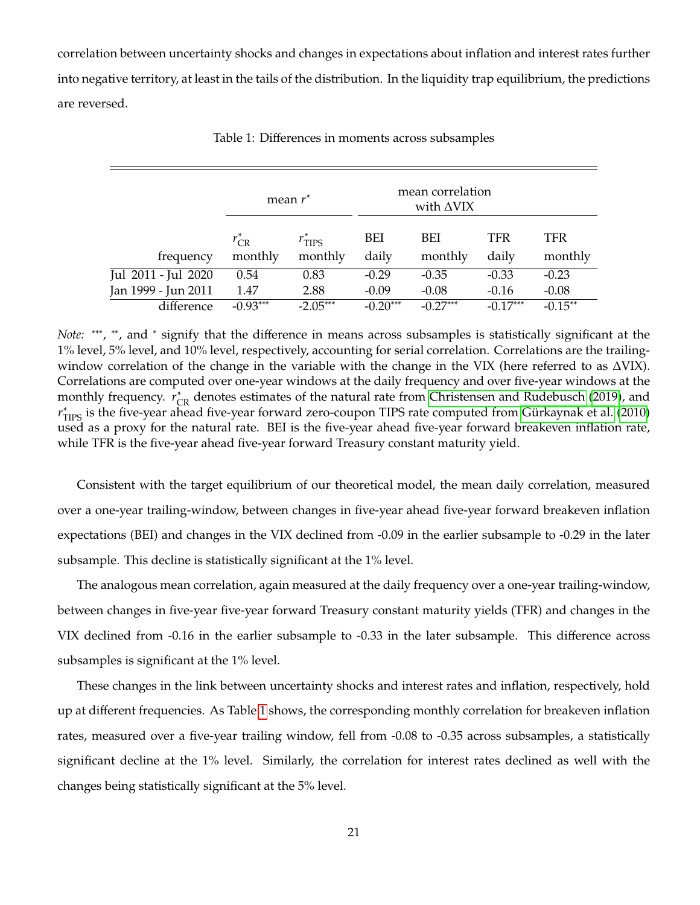correlation between uncertainty shocks and changes in expectations about inflation and interest rates further into negative territory, at least in the tails of the distribution. In the liquidity trap equilibrium, the predictions are reversed.

|                     |                       | mean $r^*$                     |              | mean correlation<br>with $\triangle$ VIX |                     |                |
|---------------------|-----------------------|--------------------------------|--------------|------------------------------------------|---------------------|----------------|
| frequency           | $r_{CR}^*$<br>monthly | $r^*_{\text{TIPS}}$<br>monthly | BEI<br>daily | BEI<br>monthly                           | <b>TFR</b><br>daily | TFR<br>monthly |
| Jul 2011 - Jul 2020 | 0.54                  | 0.83                           | $-0.29$      | $-0.35$                                  | $-0.33$             | $-0.23$        |
| Jan 1999 - Jun 2011 | 1.47                  | 2.88                           | $-0.09$      | $-0.08$                                  | $-0.16$             | $-0.08$        |
| difference          | $-0.93***$            | $-2.05***$                     | $-0.20***$   | $-0.27***$                               | $-0.17***$          | $-0.15**$      |

<span id="page-21-0"></span>Table 1: Differences in moments across subsamples

*Note*: \*\*\*, \*\*, and \* signify that the difference in means across subsamples is statistically significant at the 1% level, 5% level, and 10% level, respectively, accounting for serial correlation. Correlations are the trailingwindow correlation of the change in the variable with the change in the VIX (here referred to as ΔVIX). Correlations are computed over one-year windows at the daily frequency and over five-year windows at the monthly frequency.  $r_{CR}^*$  denotes estimates of the natural rate from [Christensen and Rudebusch](#page-29-10) [\(2019\)](#page-29-10), and  $r^*$  is the five-vear aboad five-vear forward zoro-coupon TIPS rate computed from Cirkavnak et al. (2010) The distribution of the natural rate. BEI is the five-year ahead five-year forward breakeven inflation rate, used as a proxy for the natural rate. BEI is the five-year ahead five-year forward breakeven inflation rate, ∗ TIPS is the five-year ahead five-year forward zero-coupon TIPS rate computed from [Gürkaynak et al.](#page-30-7) [\(2010\)](#page-30-7) while TFR is the five-year ahead five-year forward Treasury constant maturity yield.

Consistent with the target equilibrium of our theoretical model, the mean daily correlation, measured over a one-year trailing-window, between changes in five-year ahead five-year forward breakeven inflation expectations (BEI) and changes in the VIX declined from -0.09 in the earlier subsample to -0.29 in the later subsample. This decline is statistically significant at the 1% level.

The analogous mean correlation, again measured at the daily frequency over a one-year trailing-window, between changes in five-year five-year forward Treasury constant maturity yields (TFR) and changes in the VIX declined from -0.16 in the earlier subsample to -0.33 in the later subsample. This difference across subsamples is significant at the 1% level.

These changes in the link between uncertainty shocks and interest rates and inflation, respectively, hold up at different frequencies. As Table [1](#page-21-0) shows, the corresponding monthly correlation for breakeven inflation rates, measured over a five-year trailing window, fell from -0.08 to -0.35 across subsamples, a statistically significant decline at the 1% level. Similarly, the correlation for interest rates declined as well with the changes being statistically significant at the 5% level.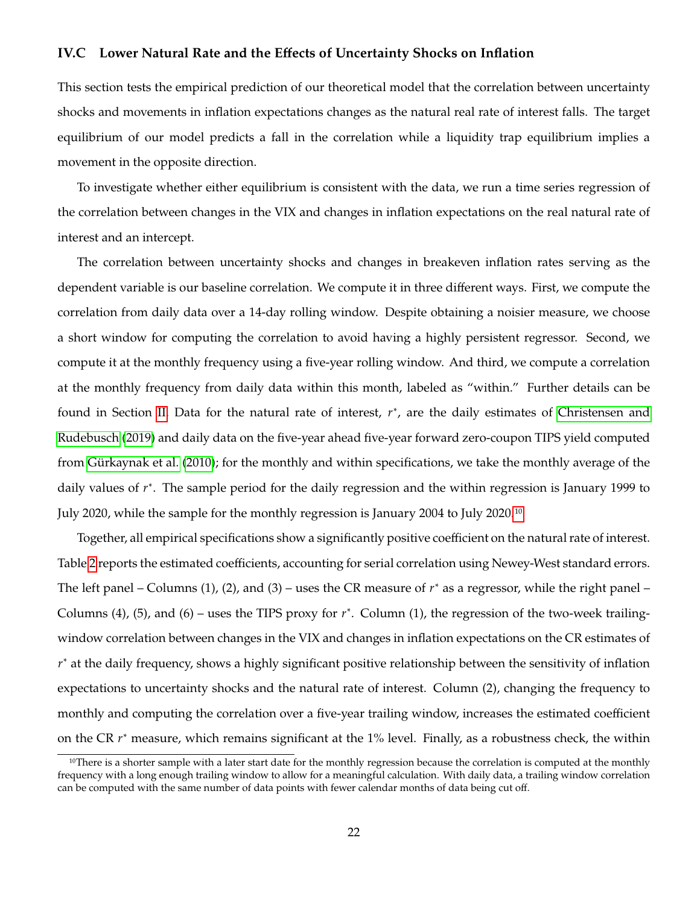### **IV.C Lower Natural Rate and the Effects of Uncertainty Shocks on Inflation**

This section tests the empirical prediction of our theoretical model that the correlation between uncertainty shocks and movements in inflation expectations changes as the natural real rate of interest falls. The target equilibrium of our model predicts a fall in the correlation while a liquidity trap equilibrium implies a movement in the opposite direction.

To investigate whether either equilibrium is consistent with the data, we run a time series regression of the correlation between changes in the VIX and changes in inflation expectations on the real natural rate of interest and an intercept.

The correlation between uncertainty shocks and changes in breakeven inflation rates serving as the dependent variable is our baseline correlation. We compute it in three different ways. First, we compute the correlation from daily data over a 14-day rolling window. Despite obtaining a noisier measure, we choose a short window for computing the correlation to avoid having a highly persistent regressor. Second, we compute it at the monthly frequency using a five-year rolling window. And third, we compute a correlation at the monthly frequency from daily data within this month, labeled as "within." Further details can be found in Section [II.](#page-4-0) Data for the natural rate of interest,  $r^*$ , are the daily estimates of [Christensen and](#page-29-10) [Rudebusch](#page-29-10) [\(2019\)](#page-29-10) and daily data on the five-year ahead five-year forward zero-coupon TIPS yield computed from [Gürkaynak et al.](#page-30-7) [\(2010\)](#page-30-7); for the monthly and within specifications, we take the monthly average of the daily values of  $r^*$ . The sample period for the daily regression and the within regression is January 1999 to July 2020, while the sample for the monthly regression is January 2004 to July 2020.[10](#page-1-0)

Together, all empirical specifications show a significantly positive coefficient on the natural rate of interest. Table [2](#page-23-0) reports the estimated coefficients, accounting for serial correlation using Newey-West standard errors. The left panel – Columns (1), (2), and (3) – uses the CR measure of  $r^*$  as a regressor, while the right panel – Columns (4), (5), and (6) – uses the TIPS proxy for  $r^*$ . Column (1), the regression of the two-week trailingwindow correlation between changes in the VIX and changes in inflation expectations on the CR estimates of  $r^*$  at the daily frequency, shows a highly significant positive relationship between the sensitivity of inflation expectations to uncertainty shocks and the natural rate of interest. Column (2), changing the frequency to monthly and computing the correlation over a five-year trailing window, increases the estimated coefficient on the CR  $r^*$  measure, which remains significant at the 1% level. Finally, as a robustness check, the within

<sup>&</sup>lt;sup>10</sup>There is a shorter sample with a later start date for the monthly regression because the correlation is computed at the monthly frequency with a long enough trailing window to allow for a meaningful calculation. With daily data, a trailing window correlation can be computed with the same number of data points with fewer calendar months of data being cut off.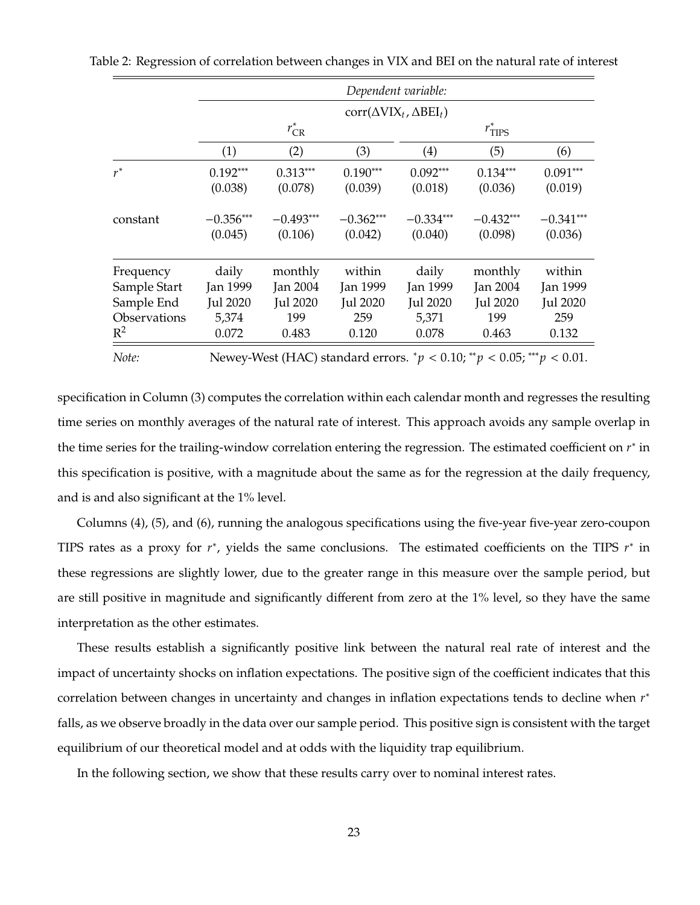<span id="page-23-0"></span>

|              |             |                 |             | Dependent variable:                                                      |                     |                 |
|--------------|-------------|-----------------|-------------|--------------------------------------------------------------------------|---------------------|-----------------|
|              |             |                 |             | $corr(\Delta VIX_t, \Delta BEI_t)$                                       |                     |                 |
|              |             | $r_{\rm CR}^*$  |             |                                                                          | $r^*_{\text{TIPS}}$ |                 |
|              | (1)         | (2)             | (3)         | (4)                                                                      | (5)                 | (6)             |
| $r^*$        | $0.192***$  | $0.313***$      | $0.190***$  | $0.092***$                                                               | $0.134***$          | $0.091***$      |
|              | (0.038)     | (0.078)         | (0.039)     | (0.018)                                                                  | (0.036)             | (0.019)         |
| constant     | $-0.356***$ | $-0.493***$     | $-0.362***$ | $-0.334***$                                                              | $-0.432***$         | $-0.341***$     |
|              | (0.045)     | (0.106)         | (0.042)     | (0.040)                                                                  | (0.098)             | (0.036)         |
| Frequency    | daily       | monthly         | within      | daily                                                                    | monthly             | within          |
| Sample Start | Jan 1999    | Jan 2004        | Jan 1999    | Jan 1999                                                                 | Jan 2004            | Jan 1999        |
| Sample End   | Jul 2020    | <b>Jul 2020</b> | Jul 2020    | Jul 2020                                                                 | Jul 2020            | <b>Jul 2020</b> |
| Observations | 5,374       | 199             | 259         | 5,371                                                                    | 199                 | 259             |
| $R^2$        | 0.072       | 0.483           | 0.120       | 0.078                                                                    | 0.463               | 0.132           |
| Note:        |             |                 |             | Newey-West (HAC) standard errors. $p < 0.10$ ; $p < 0.05$ ; $p > 0.01$ . |                     |                 |

Table 2: Regression of correlation between changes in VIX and BEI on the natural rate of interest

specification in Column (3) computes the correlation within each calendar month and regresses the resulting time series on monthly averages of the natural rate of interest. This approach avoids any sample overlap in the time series for the trailing-window correlation entering the regression. The estimated coefficient on  $r^*$  in this specification is positive, with a magnitude about the same as for the regression at the daily frequency, and is and also significant at the 1% level.

Columns (4), (5), and (6), running the analogous specifications using the five-year five-year zero-coupon TIPS rates as a proxy for  $r^*$ , yields the same conclusions. The estimated coefficients on the TIPS  $r^*$  in these regressions are slightly lower, due to the greater range in this measure over the sample period, but are still positive in magnitude and significantly different from zero at the 1% level, so they have the same interpretation as the other estimates.

These results establish a significantly positive link between the natural real rate of interest and the impact of uncertainty shocks on inflation expectations. The positive sign of the coefficient indicates that this correlation between changes in uncertainty and changes in inflation expectations tends to decline when  $r^*$ falls, as we observe broadly in the data over our sample period. This positive sign is consistent with the target equilibrium of our theoretical model and at odds with the liquidity trap equilibrium.

In the following section, we show that these results carry over to nominal interest rates.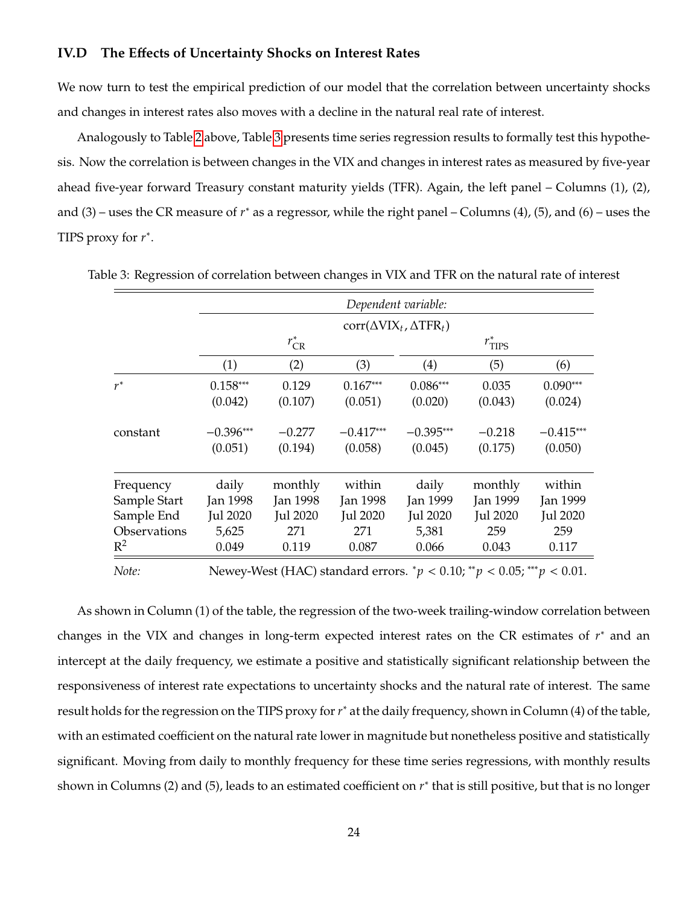#### **IV.D The Effects of Uncertainty Shocks on Interest Rates**

We now turn to test the empirical prediction of our model that the correlation between uncertainty shocks and changes in interest rates also moves with a decline in the natural real rate of interest.

Analogously to Table [2](#page-23-0) above, Table [3](#page-24-0) presents time series regression results to formally test this hypothesis. Now the correlation is between changes in the VIX and changes in interest rates as measured by five-year ahead five-year forward Treasury constant maturity yields (TFR). Again, the left panel – Columns (1), (2), and  $(3)$  – uses the CR measure of  $r^*$  as a regressor, while the right panel – Columns  $(4)$ ,  $(5)$ , and  $(6)$  – uses the TIPS proxy for  $r^*$ .

<span id="page-24-0"></span>

|              |                 |                 |                 | Dependent variable:                |                     |                 |
|--------------|-----------------|-----------------|-----------------|------------------------------------|---------------------|-----------------|
|              |                 |                 |                 | $corr(\Delta VIX_t, \Delta TFR_t)$ |                     |                 |
|              |                 | $r_{CR}^*$      |                 |                                    | $r^*_{\text{TIPS}}$ |                 |
|              | (1)             | (2)             | (3)             | (4)                                | (5)                 | (6)             |
| $r^*$        | $0.158***$      | 0.129           | $0.167***$      | $0.086***$                         | 0.035               | $0.090***$      |
|              | (0.042)         | (0.107)         | (0.051)         | (0.020)                            | (0.043)             | (0.024)         |
| constant     | $-0.396***$     | $-0.277$        | $-0.417***$     | $-0.395***$                        | $-0.218$            | $-0.415***$     |
|              | (0.051)         | (0.194)         | (0.058)         | (0.045)                            | (0.175)             | (0.050)         |
| Frequency    | daily           | monthly         | within          | daily                              | monthly             | within          |
| Sample Start | <b>Jan 1998</b> | <b>Jan 1998</b> | <b>Jan 1998</b> | Jan 1999                           | Jan 1999            | Jan 1999        |
| Sample End   | Jul 2020        | Jul 2020        | Jul 2020        | <b>Jul 2020</b>                    | <b>Jul 2020</b>     | <b>Jul 2020</b> |
| Observations | 5,625           | 271             | 271             | 5,381                              | 259                 | 259             |
| $R^2$        | 0.049           | 0.119           | 0.087           | 0.066                              | 0.043               | 0.117           |

Table 3: Regression of correlation between changes in VIX and TFR on the natural rate of interest

*Note:* Newey-West (HAC) standard errors.  $^*p < 0.10$ ;  $^{**}p < 0.05$ ;  $^{***}p < 0.01$ .

As shown in Column (1) of the table, the regression of the two-week trailing-window correlation between changes in the VIX and changes in long-term expected interest rates on the CR estimates of  $r^*$  and an intercept at the daily frequency, we estimate a positive and statistically significant relationship between the responsiveness of interest rate expectations to uncertainty shocks and the natural rate of interest. The same result holds for the regression on the TIPS proxy for  $r^*$  at the daily frequency, shown in Column (4) of the table, with an estimated coefficient on the natural rate lower in magnitude but nonetheless positive and statistically significant. Moving from daily to monthly frequency for these time series regressions, with monthly results shown in Columns (2) and (5), leads to an estimated coefficient on  $r^*$  that is still positive, but that is no longer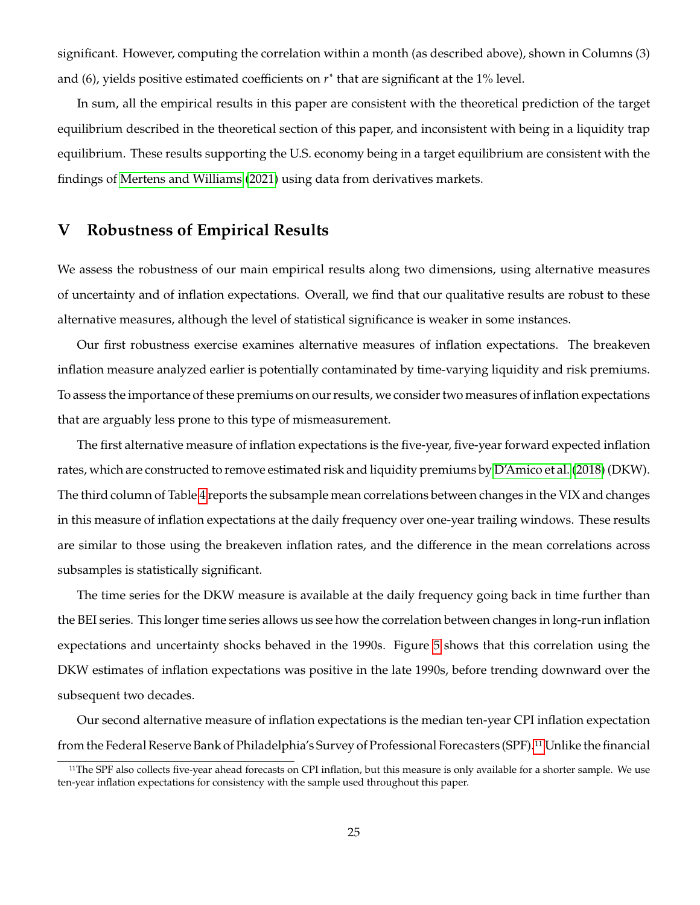significant. However, computing the correlation within a month (as described above), shown in Columns (3) and (6), yields positive estimated coefficients on  $r^*$  that are significant at the 1% level.

In sum, all the empirical results in this paper are consistent with the theoretical prediction of the target equilibrium described in the theoretical section of this paper, and inconsistent with being in a liquidity trap equilibrium. These results supporting the U.S. economy being in a target equilibrium are consistent with the findings of [Mertens and Williams](#page-31-0) [\(2021\)](#page-31-0) using data from derivatives markets.

### <span id="page-25-0"></span>**V Robustness of Empirical Results**

We assess the robustness of our main empirical results along two dimensions, using alternative measures of uncertainty and of inflation expectations. Overall, we find that our qualitative results are robust to these alternative measures, although the level of statistical significance is weaker in some instances.

Our first robustness exercise examines alternative measures of inflation expectations. The breakeven inflation measure analyzed earlier is potentially contaminated by time-varying liquidity and risk premiums. To assess the importance of these premiums on our results, we consider two measures of inflation expectations that are arguably less prone to this type of mismeasurement.

The first alternative measure of inflation expectations is the five-year, five-year forward expected inflation rates, which are constructed to remove estimated risk and liquidity premiums by [D'Amico et al.](#page-30-11) [\(2018\)](#page-30-11) (DKW). The third column of Table [4](#page-27-0) reports the subsample mean correlations between changes in the VIX and changes in this measure of inflation expectations at the daily frequency over one-year trailing windows. These results are similar to those using the breakeven inflation rates, and the difference in the mean correlations across subsamples is statistically significant.

The time series for the DKW measure is available at the daily frequency going back in time further than the BEI series. This longer time series allows us see how the correlation between changes in long-run inflation expectations and uncertainty shocks behaved in the 1990s. Figure [5](#page-26-0) shows that this correlation using the DKW estimates of inflation expectations was positive in the late 1990s, before trending downward over the subsequent two decades.

Our second alternative measure of inflation expectations is the median ten-year CPI inflation expectation from the Federal Reserve Bank of Philadelphia's Survey of Professional Forecasters (SPF).[11](#page-1-0) Unlike the financial

<sup>&</sup>lt;sup>11</sup>The SPF also collects five-year ahead forecasts on CPI inflation, but this measure is only available for a shorter sample. We use ten-year inflation expectations for consistency with the sample used throughout this paper.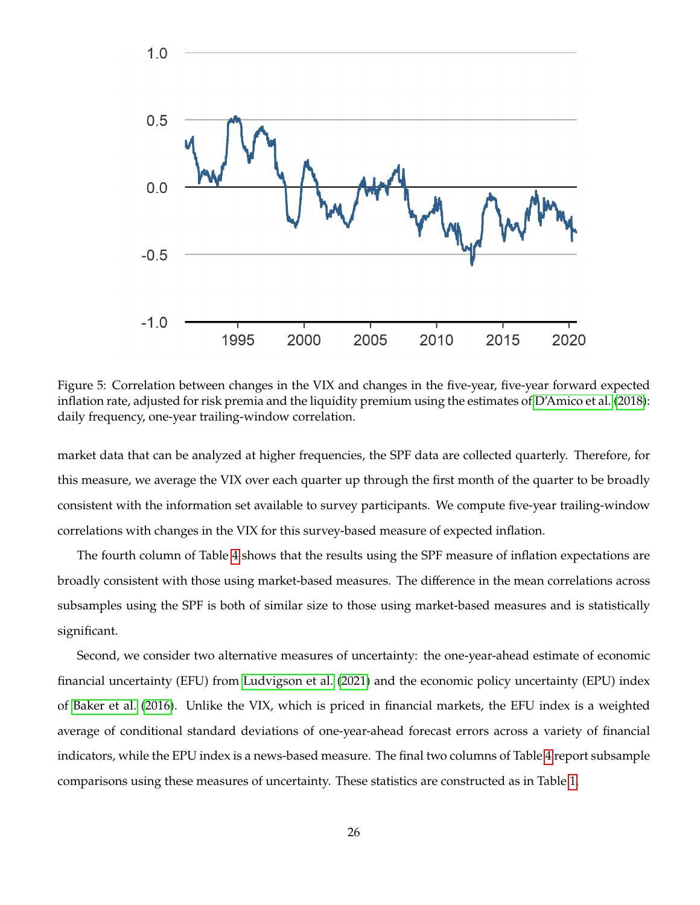

<span id="page-26-0"></span>Figure 5: Correlation between changes in the VIX and changes in the five-year, five-year forward expected inflation rate, adjusted for risk premia and the liquidity premium using the estimates of [D'Amico et al.](#page-30-11) [\(2018\)](#page-30-11): daily frequency, one-year trailing-window correlation.

market data that can be analyzed at higher frequencies, the SPF data are collected quarterly. Therefore, for this measure, we average the VIX over each quarter up through the first month of the quarter to be broadly consistent with the information set available to survey participants. We compute five-year trailing-window correlations with changes in the VIX for this survey-based measure of expected inflation.

The fourth column of Table [4](#page-27-0) shows that the results using the SPF measure of inflation expectations are broadly consistent with those using market-based measures. The difference in the mean correlations across subsamples using the SPF is both of similar size to those using market-based measures and is statistically significant.

Second, we consider two alternative measures of uncertainty: the one-year-ahead estimate of economic financial uncertainty (EFU) from [Ludvigson et al.](#page-31-1) [\(2021\)](#page-31-1) and the economic policy uncertainty (EPU) index of [Baker et al.](#page-29-0) [\(2016\)](#page-29-0). Unlike the VIX, which is priced in financial markets, the EFU index is a weighted average of conditional standard deviations of one-year-ahead forecast errors across a variety of financial indicators, while the EPU index is a news-based measure. The final two columns of Table [4](#page-27-0) report subsample comparisons using these measures of uncertainty. These statistics are constructed as in Table [1.](#page-21-0)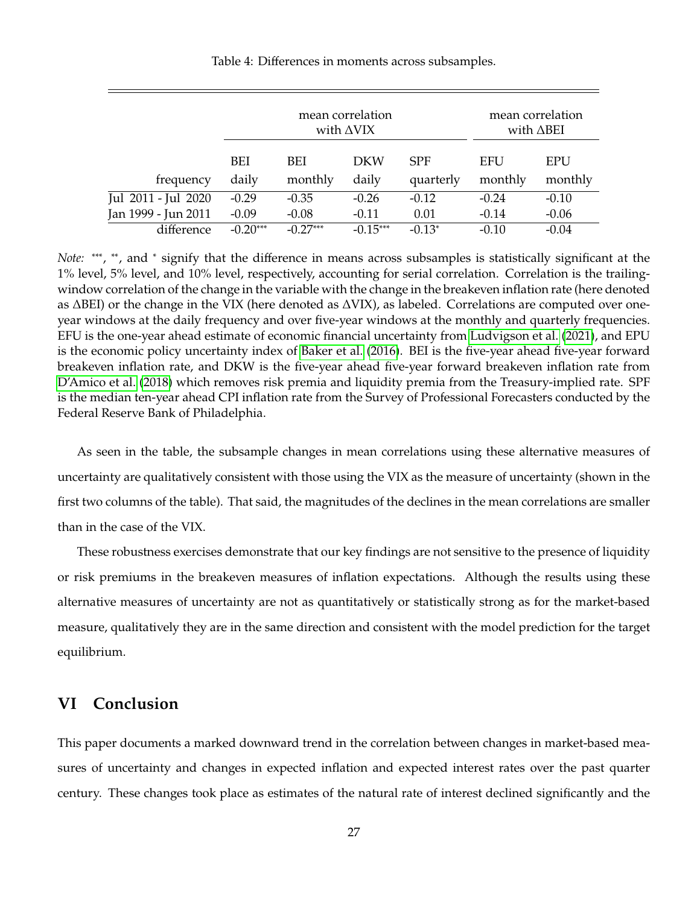|                     |              | mean correlation<br>mean correlation<br>with $\triangle$ VIX<br>with $\triangle$ BEI |              |                         |                       |                |
|---------------------|--------------|--------------------------------------------------------------------------------------|--------------|-------------------------|-----------------------|----------------|
| frequency           | BEI<br>daily | BEI<br>monthly                                                                       | DKW<br>daily | <b>SPF</b><br>quarterly | <b>EFU</b><br>monthly | EPU<br>monthly |
| Jul 2011 - Jul 2020 | $-0.29$      | $-0.35$                                                                              | $-0.26$      | $-0.12$                 | $-0.24$               | $-0.10$        |
| Jan 1999 - Jun 2011 | $-0.09$      | $-0.08$                                                                              | $-0.11$      | 0.01                    | $-0.14$               | $-0.06$        |
| difference          | $-0.20***$   | $-0.27***$                                                                           | $-0.15***$   | $-0.13*$                | $-0.10$               | $-0.04$        |

<span id="page-27-0"></span>Table 4: Differences in moments across subsamples.

*Note*: \*\*\*, \*\*, and \* signify that the difference in means across subsamples is statistically significant at the 1% level, 5% level, and 10% level, respectively, accounting for serial correlation. Correlation is the trailingwindow correlation of the change in the variable with the change in the breakeven inflation rate (here denoted as ΔBEI) or the change in the VIX (here denoted as ΔVIX), as labeled. Correlations are computed over oneyear windows at the daily frequency and over five-year windows at the monthly and quarterly frequencies. EFU is the one-year ahead estimate of economic financial uncertainty from [Ludvigson et al.](#page-31-1) [\(2021\)](#page-31-1), and EPU is the economic policy uncertainty index of [Baker et al.](#page-29-0) [\(2016\)](#page-29-0). BEI is the five-year ahead five-year forward breakeven inflation rate, and DKW is the five-year ahead five-year forward breakeven inflation rate from [D'Amico et al.](#page-30-11) [\(2018\)](#page-30-11) which removes risk premia and liquidity premia from the Treasury-implied rate. SPF is the median ten-year ahead CPI inflation rate from the Survey of Professional Forecasters conducted by the Federal Reserve Bank of Philadelphia.

As seen in the table, the subsample changes in mean correlations using these alternative measures of uncertainty are qualitatively consistent with those using the VIX as the measure of uncertainty (shown in the first two columns of the table). That said, the magnitudes of the declines in the mean correlations are smaller than in the case of the VIX.

These robustness exercises demonstrate that our key findings are not sensitive to the presence of liquidity or risk premiums in the breakeven measures of inflation expectations. Although the results using these alternative measures of uncertainty are not as quantitatively or statistically strong as for the market-based measure, qualitatively they are in the same direction and consistent with the model prediction for the target equilibrium.

### **VI Conclusion**

This paper documents a marked downward trend in the correlation between changes in market-based measures of uncertainty and changes in expected inflation and expected interest rates over the past quarter century. These changes took place as estimates of the natural rate of interest declined significantly and the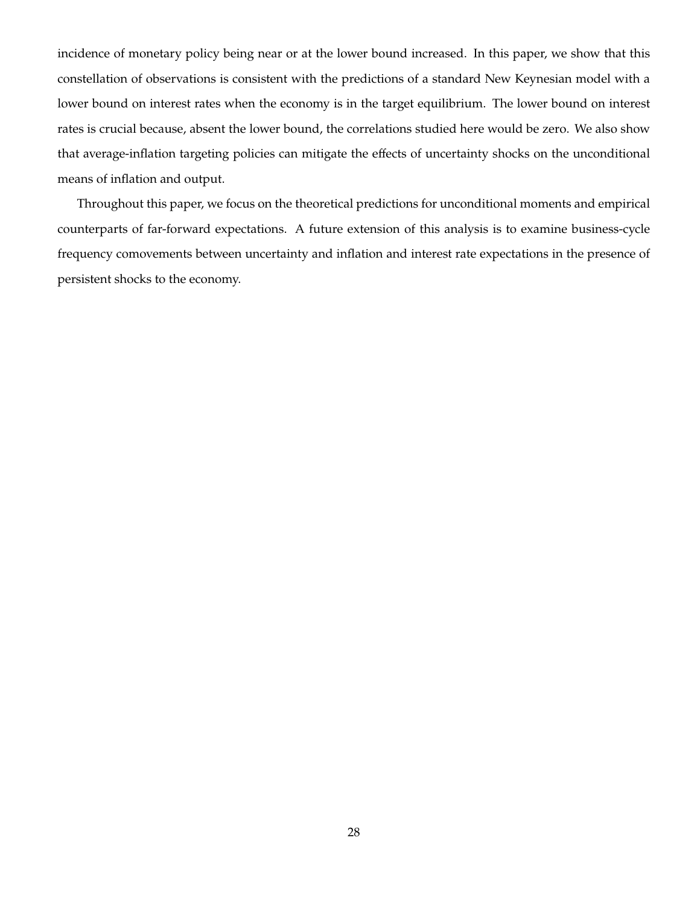incidence of monetary policy being near or at the lower bound increased. In this paper, we show that this constellation of observations is consistent with the predictions of a standard New Keynesian model with a lower bound on interest rates when the economy is in the target equilibrium. The lower bound on interest rates is crucial because, absent the lower bound, the correlations studied here would be zero. We also show that average-inflation targeting policies can mitigate the effects of uncertainty shocks on the unconditional means of inflation and output.

Throughout this paper, we focus on the theoretical predictions for unconditional moments and empirical counterparts of far-forward expectations. A future extension of this analysis is to examine business-cycle frequency comovements between uncertainty and inflation and interest rate expectations in the presence of persistent shocks to the economy.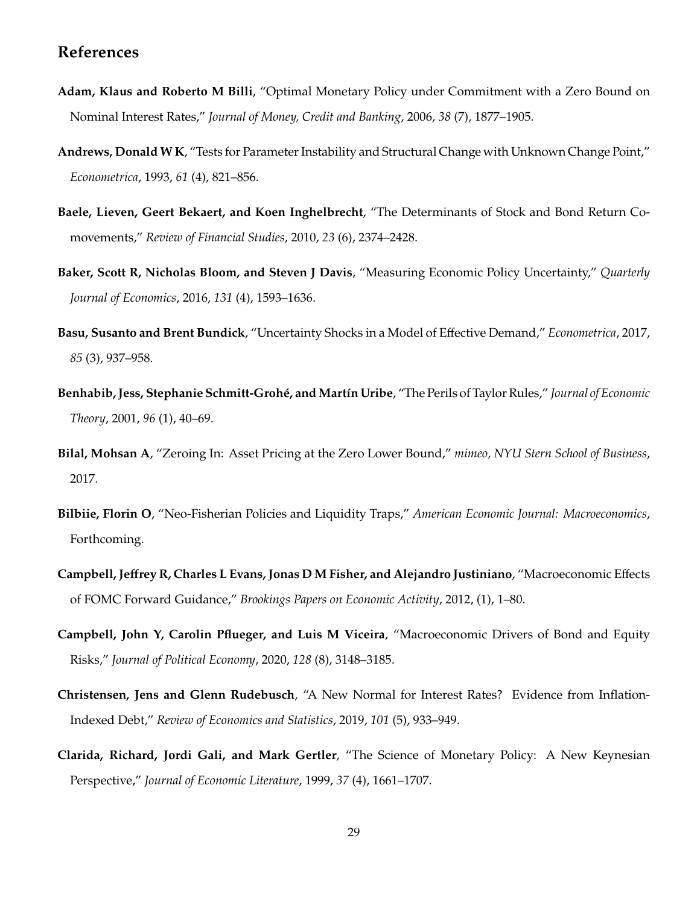### **References**

- <span id="page-29-1"></span>**Adam, Klaus and Roberto M Billi**, "Optimal Monetary Policy under Commitment with a Zero Bound on Nominal Interest Rates," *Journal of Money, Credit and Banking*, 2006, *38* (7), 1877–1905.
- <span id="page-29-11"></span>**Andrews, Donald W K**, "Tests for Parameter Instability and Structural Change with Unknown Change Point," *Econometrica*, 1993, *61* (4), 821–856.
- <span id="page-29-5"></span>**Baele, Lieven, Geert Bekaert, and Koen Inghelbrecht**, "The Determinants of Stock and Bond Return Comovements," *Review of Financial Studies*, 2010, *23* (6), 2374–2428.
- <span id="page-29-0"></span>**Baker, Scott R, Nicholas Bloom, and Steven J Davis**, "Measuring Economic Policy Uncertainty," *Quarterly Journal of Economics*, 2016, *131* (4), 1593–1636.
- <span id="page-29-8"></span>**Basu, Susanto and Brent Bundick**, "Uncertainty Shocks in a Model of Effective Demand," *Econometrica*, 2017, *85* (3), 937–958.
- <span id="page-29-3"></span>**Benhabib, Jess, Stephanie Schmitt-Grohé, andMartín Uribe**, "The Perils of Taylor Rules," *Journal of Economic Theory*, 2001, *96* (1), 40–69.
- <span id="page-29-7"></span>**Bilal, Mohsan A**, "Zeroing In: Asset Pricing at the Zero Lower Bound," *mimeo, NYU Stern School of Business*, 2017.
- <span id="page-29-4"></span>**Bilbiie, Florin O**, "Neo-Fisherian Policies and Liquidity Traps," *American Economic Journal: Macroeconomics*, Forthcoming.
- <span id="page-29-2"></span>**Campbell, Jeffrey R, Charles L Evans, Jonas D M Fisher, and Alejandro Justiniano**, "Macroeconomic Effects of FOMC Forward Guidance," *Brookings Papers on Economic Activity*, 2012, (1), 1–80.
- <span id="page-29-6"></span>**Campbell, John Y, Carolin Pflueger, and Luis M Viceira**, "Macroeconomic Drivers of Bond and Equity Risks," *Journal of Political Economy*, 2020, *128* (8), 3148–3185.
- <span id="page-29-10"></span>**Christensen, Jens and Glenn Rudebusch**, "A New Normal for Interest Rates? Evidence from Inflation-Indexed Debt," *Review of Economics and Statistics*, 2019, *101* (5), 933–949.
- <span id="page-29-9"></span>**Clarida, Richard, Jordi Gali, and Mark Gertler**, "The Science of Monetary Policy: A New Keynesian Perspective," *Journal of Economic Literature*, 1999, *37* (4), 1661–1707.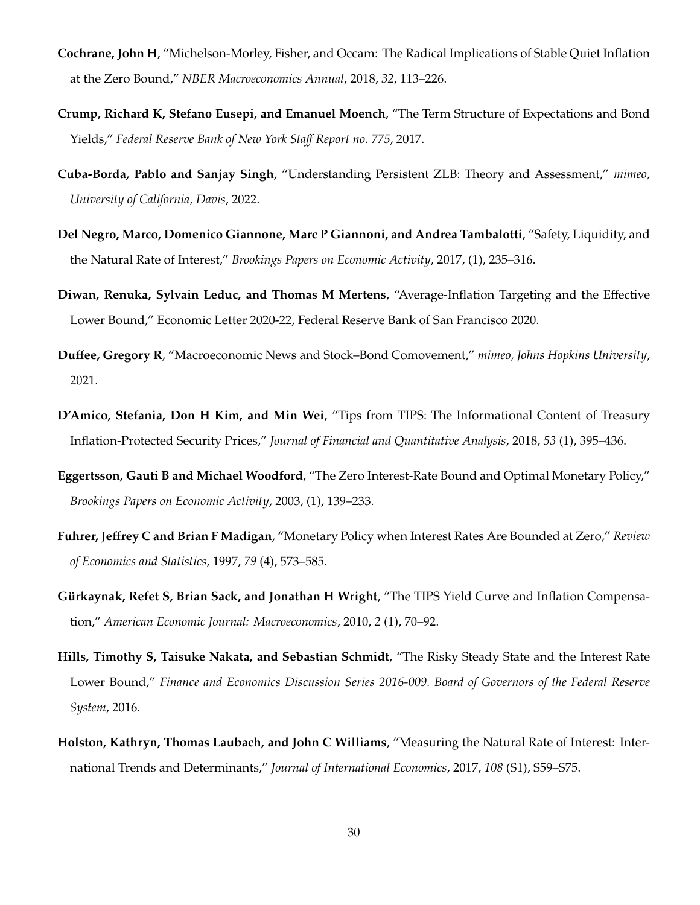- <span id="page-30-2"></span>**Cochrane, John H**, "Michelson-Morley, Fisher, and Occam: The Radical Implications of Stable Quiet Inflation at the Zero Bound," *NBER Macroeconomics Annual*, 2018, *32*, 113–226.
- <span id="page-30-9"></span>**Crump, Richard K, Stefano Eusepi, and Emanuel Moench**, "The Term Structure of Expectations and Bond Yields," *Federal Reserve Bank of New York Staff Report no. 775*, 2017.
- <span id="page-30-4"></span>**Cuba-Borda, Pablo and Sanjay Singh**, "Understanding Persistent ZLB: Theory and Assessment," *mimeo, University of California, Davis*, 2022.
- <span id="page-30-10"></span>**Del Negro, Marco, Domenico Giannone, Marc P Giannoni, and Andrea Tambalotti**, "Safety, Liquidity, and the Natural Rate of Interest," *Brookings Papers on Economic Activity*, 2017, (1), 235–316.
- <span id="page-30-6"></span>**Diwan, Renuka, Sylvain Leduc, and Thomas M Mertens**, "Average-Inflation Targeting and the Effective Lower Bound," Economic Letter 2020-22, Federal Reserve Bank of San Francisco 2020.
- <span id="page-30-5"></span>**Duffee, Gregory R**, "Macroeconomic News and Stock–Bond Comovement," *mimeo, Johns Hopkins University*, 2021.
- <span id="page-30-11"></span>**D'Amico, Stefania, Don H Kim, and Min Wei**, "Tips from TIPS: The Informational Content of Treasury Inflation-Protected Security Prices," *Journal of Financial and Quantitative Analysis*, 2018, *53* (1), 395–436.
- <span id="page-30-1"></span>**Eggertsson, Gauti B and Michael Woodford**, "The Zero Interest-Rate Bound and Optimal Monetary Policy," *Brookings Papers on Economic Activity*, 2003, (1), 139–233.
- <span id="page-30-0"></span>**Fuhrer, Jeffrey C and Brian F Madigan**, "Monetary Policy when Interest Rates Are Bounded at Zero," *Review of Economics and Statistics*, 1997, *79* (4), 573–585.
- <span id="page-30-7"></span>**Gürkaynak, Refet S, Brian Sack, and Jonathan H Wright**, "The TIPS Yield Curve and Inflation Compensation," *American Economic Journal: Macroeconomics*, 2010, *2* (1), 70–92.
- <span id="page-30-3"></span>**Hills, Timothy S, Taisuke Nakata, and Sebastian Schmidt**, "The Risky Steady State and the Interest Rate Lower Bound," *Finance and Economics Discussion Series 2016-009. Board of Governors of the Federal Reserve System*, 2016.
- <span id="page-30-8"></span>**Holston, Kathryn, Thomas Laubach, and John C Williams**, "Measuring the Natural Rate of Interest: International Trends and Determinants," *Journal of International Economics*, 2017, *108* (S1), S59–S75.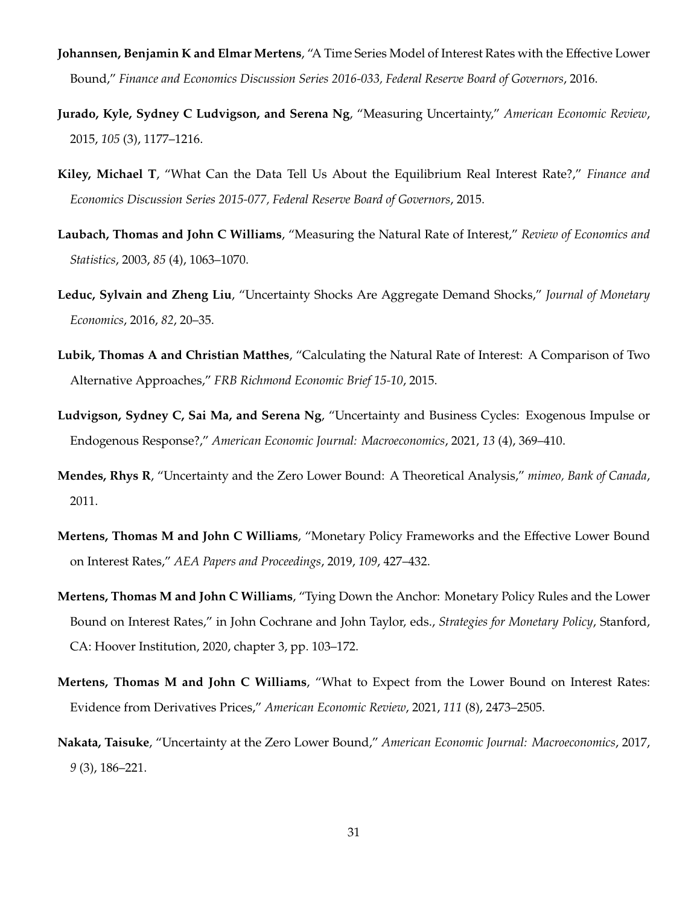- <span id="page-31-11"></span>**Johannsen, Benjamin K and Elmar Mertens**, "A Time Series Model of Interest Rates with the Effective Lower Bound," *Finance and Economics Discussion Series 2016-033, Federal Reserve Board of Governors*, 2016.
- <span id="page-31-3"></span>**Jurado, Kyle, Sydney C Ludvigson, and Serena Ng**, "Measuring Uncertainty," *American Economic Review*, 2015, *105* (3), 1177–1216.
- <span id="page-31-9"></span>**Kiley, Michael T**, "What Can the Data Tell Us About the Equilibrium Real Interest Rate?," *Finance and Economics Discussion Series 2015-077, Federal Reserve Board of Governors*, 2015.
- <span id="page-31-8"></span>**Laubach, Thomas and John C Williams**, "Measuring the Natural Rate of Interest," *Review of Economics and Statistics*, 2003, *85* (4), 1063–1070.
- <span id="page-31-4"></span>**Leduc, Sylvain and Zheng Liu**, "Uncertainty Shocks Are Aggregate Demand Shocks," *Journal of Monetary Economics*, 2016, *82*, 20–35.
- <span id="page-31-10"></span>**Lubik, Thomas A and Christian Matthes**, "Calculating the Natural Rate of Interest: A Comparison of Two Alternative Approaches," *FRB Richmond Economic Brief 15-10*, 2015.
- <span id="page-31-1"></span>**Ludvigson, Sydney C, Sai Ma, and Serena Ng**, "Uncertainty and Business Cycles: Exogenous Impulse or Endogenous Response?," *American Economic Journal: Macroeconomics*, 2021, *13* (4), 369–410.
- <span id="page-31-2"></span>**Mendes, Rhys R**, "Uncertainty and the Zero Lower Bound: A Theoretical Analysis," *mimeo, Bank of Canada*, 2011.
- <span id="page-31-6"></span>**Mertens, Thomas M and John C Williams**, "Monetary Policy Frameworks and the Effective Lower Bound on Interest Rates," *AEA Papers and Proceedings*, 2019, *109*, 427–432.
- <span id="page-31-7"></span>**Mertens, Thomas M and John C Williams**, "Tying Down the Anchor: Monetary Policy Rules and the Lower Bound on Interest Rates," in John Cochrane and John Taylor, eds., *Strategies for Monetary Policy*, Stanford, CA: Hoover Institution, 2020, chapter 3, pp. 103–172.
- <span id="page-31-0"></span>**Mertens, Thomas M and John C Williams**, "What to Expect from the Lower Bound on Interest Rates: Evidence from Derivatives Prices," *American Economic Review*, 2021, *111* (8), 2473–2505.
- <span id="page-31-5"></span>**Nakata, Taisuke**, "Uncertainty at the Zero Lower Bound," *American Economic Journal: Macroeconomics*, 2017, *9* (3), 186–221.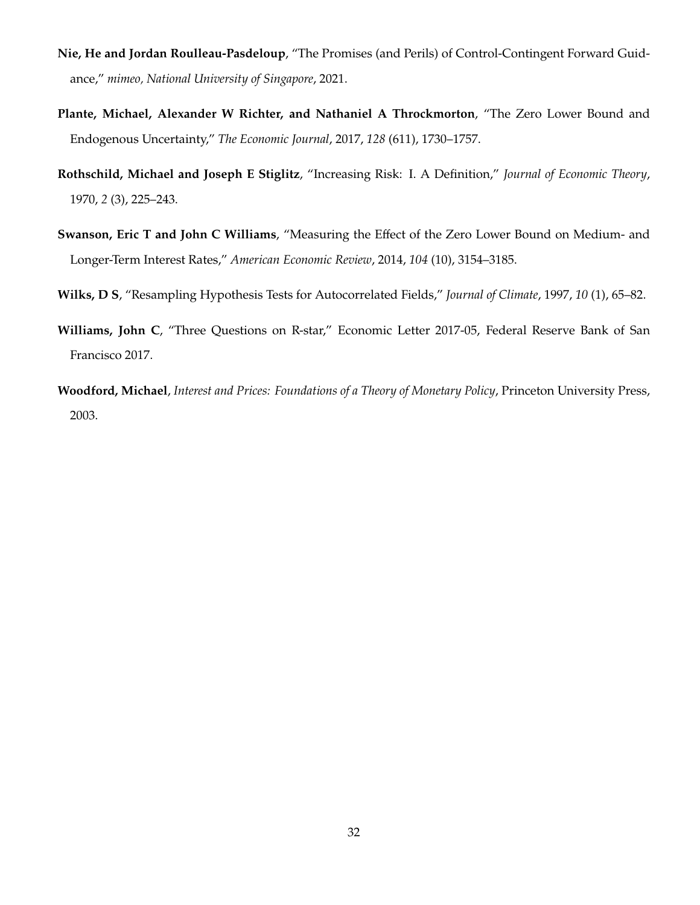- <span id="page-32-0"></span>**Nie, He and Jordan Roulleau-Pasdeloup**, "The Promises (and Perils) of Control-Contingent Forward Guidance," *mimeo, National University of Singapore*, 2021.
- <span id="page-32-2"></span>**Plante, Michael, Alexander W Richter, and Nathaniel A Throckmorton**, "The Zero Lower Bound and Endogenous Uncertainty," *The Economic Journal*, 2017, *128* (611), 1730–1757.
- <span id="page-32-4"></span>**Rothschild, Michael and Joseph E Stiglitz**, "Increasing Risk: I. A Definition," *Journal of Economic Theory*, 1970, *2* (3), 225–243.
- <span id="page-32-1"></span>**Swanson, Eric T and John C Williams**, "Measuring the Effect of the Zero Lower Bound on Medium- and Longer-Term Interest Rates," *American Economic Review*, 2014, *104* (10), 3154–3185.
- <span id="page-32-6"></span>**Wilks, D S**, "Resampling Hypothesis Tests for Autocorrelated Fields," *Journal of Climate*, 1997, *10* (1), 65–82.
- <span id="page-32-5"></span>**Williams, John C**, "Three Questions on R-star," Economic Letter 2017-05, Federal Reserve Bank of San Francisco 2017.
- <span id="page-32-3"></span>**Woodford, Michael**, *Interest and Prices: Foundations of a Theory of Monetary Policy*, Princeton University Press, 2003.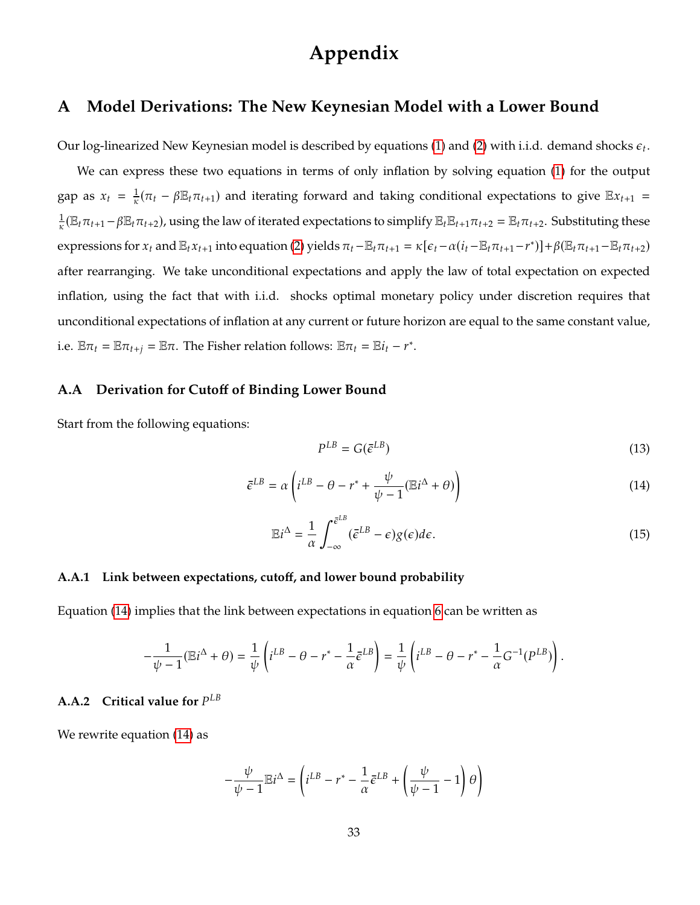# **Appendix**

### <span id="page-33-0"></span>**A Model Derivations: The New Keynesian Model with a Lower Bound**

Our log-linearized New Keynesian model is described by equations [\(1\)](#page-6-0) and [\(2\)](#page-6-1) with i.i.d. demand shocks  $\epsilon_t$ .

We can express these two equations in terms of only inflation by solving equation [\(1\)](#page-6-0) for the output gap as  $x_t = \frac{1}{\kappa}(\pi_t - \beta \mathbb{E}_t \pi_{t+1})$  and iterating forward and taking conditional expectations to give  $\mathbb{E}x_{t+1}$  $\frac{1}{\kappa}(\mathbb{E}_t\pi_{t+1}-\beta\mathbb{E}_t\pi_{t+2})$ , using the law of iterated expectations to simplify  $\mathbb{E}_t\mathbb{E}_{t+1}\pi_{t+2} = \mathbb{E}_t\pi_{t+2}$ . Substituting these expressions for  $x_t$  and  $\mathbb{E}_t x_{t+1}$  into equation [\(2\)](#page-6-1) yields  $\pi_t - \mathbb{E}_t \pi_{t+1} = \kappa [\epsilon_t - \alpha (i_t - \mathbb{E}_t \pi_{t+1} - r^*)] + \beta (\mathbb{E}_t \pi_{t+1} - \mathbb{E}_t \pi_{t+2})$ after rearranging. We take unconditional expectations and apply the law of total expectation on expected inflation, using the fact that with i.i.d. shocks optimal monetary policy under discretion requires that unconditional expectations of inflation at any current or future horizon are equal to the same constant value, i.e.  $\mathbb{E}\pi_t = \mathbb{E}\pi_{t+j} = \mathbb{E}\pi$ . The Fisher relation follows:  $\mathbb{E}\pi_t = \mathbb{E}i_t - r^*$ .

### <span id="page-33-1"></span>**A.A Derivation for Cutoff of Binding Lower Bound**

Start from the following equations:

$$
P^{LB} = G(\bar{e}^{LB})\tag{13}
$$

<span id="page-33-3"></span>
$$
\bar{\epsilon}^{LB} = \alpha \left( i^{LB} - \theta - r^* + \frac{\psi}{\psi - 1} (\mathbb{E}i^{\Delta} + \theta) \right)
$$
 (14)

<span id="page-33-4"></span>
$$
\mathbb{E}i^{\Delta} = \frac{1}{\alpha} \int_{-\infty}^{\bar{\epsilon}^{LB}} (\bar{\epsilon}^{LB} - \epsilon) g(\epsilon) d\epsilon.
$$
 (15)

### **A.A.1 Link between expectations, cutoff, and lower bound probability**

Equation [\(14\)](#page-33-3) implies that the link between expectations in equation [6](#page-9-0) can be written as

$$
-\frac{1}{\psi - 1}(\mathbb{E}i^{\Delta} + \theta) = \frac{1}{\psi} \left( i^{LB} - \theta - r^* - \frac{1}{\alpha} \bar{\epsilon}^{LB} \right) = \frac{1}{\psi} \left( i^{LB} - \theta - r^* - \frac{1}{\alpha} G^{-1}(P^{LB}) \right)
$$

# <span id="page-33-2"></span>**A.A.2** Critical value for  $P^{LB}$

We rewrite equation [\(14\)](#page-33-3) as

$$
-\frac{\psi}{\psi - 1} \mathbb{E} i^{\Delta} = \left( i^{LB} - r^* - \frac{1}{\alpha} \bar{\epsilon}^{LB} + \left( \frac{\psi}{\psi - 1} - 1 \right) \theta \right)
$$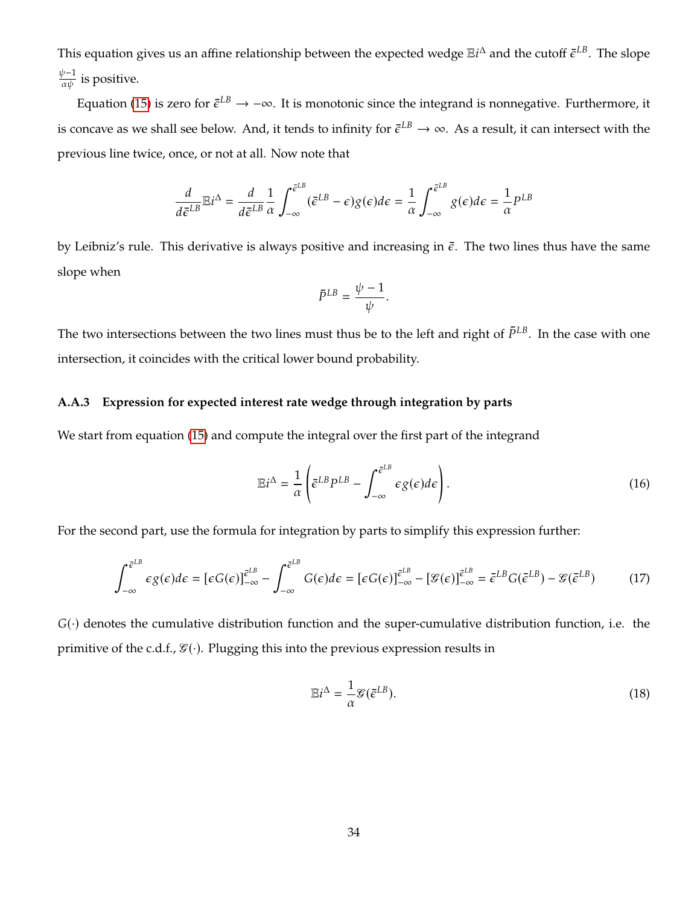This equation gives us an affine relationship between the expected wedge  $\mathbb{E}i^{\Delta}$  and the cutoff  $\bar{\epsilon}^{LB}$ . The slope  $\frac{\psi-1}{\alpha\psi}$  is positive.

Equation [\(15\)](#page-33-4) is zero for  $\bar{\epsilon}^{LB}\to -\infty$ . It is monotonic since the integrand is nonnegative. Furthermore, it is concave as we shall see below. And, it tends to infinity for  $\bar e^{LB}\to\infty$ . As a result, it can intersect with the previous line twice, once, or not at all. Now note that

$$
\frac{d}{d\bar{\epsilon}^{LB}}\mathbb{E}i^{\Delta} = \frac{d}{d\bar{\epsilon}^{LB}}\frac{1}{\alpha}\int_{-\infty}^{\bar{\epsilon}^{LB}} (\bar{\epsilon}^{LB} - \epsilon)g(\epsilon)d\epsilon = \frac{1}{\alpha}\int_{-\infty}^{\bar{\epsilon}^{LB}} g(\epsilon)d\epsilon = \frac{1}{\alpha}P^{LB}
$$

by Leibniz's rule. This derivative is always positive and increasing in  $\bar{\epsilon}$ . The two lines thus have the same slope when

$$
\bar{P}^{LB}=\frac{\psi-1}{\psi}
$$

The two intersections between the two lines must thus be to the left and right of  $\bar{P}^{LB}$ . In the case with one intersection, it coincides with the critical lower bound probability.

### **A.A.3 Expression for expected interest rate wedge through integration by parts**

We start from equation [\(15\)](#page-33-4) and compute the integral over the first part of the integrand

$$
\mathbb{E}i^{\Delta} = \frac{1}{\alpha} \left( \bar{\epsilon}^{LB} P^{LB} - \int_{-\infty}^{\bar{\epsilon}^{LB}} \epsilon g(\epsilon) d\epsilon \right). \tag{16}
$$

For the second part, use the formula for integration by parts to simplify this expression further:

$$
\int_{-\infty}^{\bar{\epsilon}^{LB}} \epsilon g(\epsilon) d\epsilon = [\epsilon G(\epsilon)]_{-\infty}^{\bar{\epsilon}^{LB}} - \int_{-\infty}^{\bar{\epsilon}^{LB}} G(\epsilon) d\epsilon = [\epsilon G(\epsilon)]_{-\infty}^{\bar{\epsilon}^{LB}} - [\mathcal{G}(\epsilon)]_{-\infty}^{\bar{\epsilon}^{LB}} = \bar{\epsilon}^{LB} G(\bar{\epsilon}^{LB}) - \mathcal{G}(\bar{\epsilon}^{LB}) \tag{17}
$$

 $G(\cdot)$  denotes the cumulative distribution function and the super-cumulative distribution function, i.e. the primitive of the c.d.f.,  $\mathcal{G}(\cdot)$ . Plugging this into the previous expression results in

$$
\mathbb{E}i^{\Delta} = \frac{1}{\alpha} \mathcal{G}(\bar{\epsilon}^{LB}).
$$
\n(18)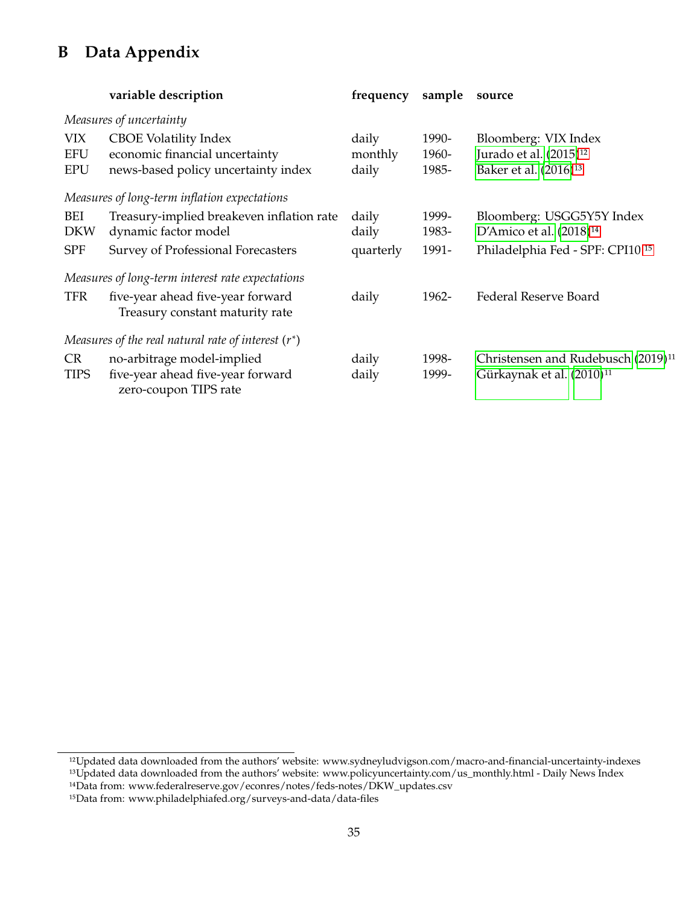# <span id="page-35-0"></span>**B Data Appendix**

|                          | variable description                                                                     | frequency        | sample         | source                                                                                  |
|--------------------------|------------------------------------------------------------------------------------------|------------------|----------------|-----------------------------------------------------------------------------------------|
|                          | Measures of uncertainty                                                                  |                  |                |                                                                                         |
| VIX<br><b>EFU</b>        | <b>CBOE Volatility Index</b><br>economic financial uncertainty                           | daily            | 1990-          | Bloomberg: VIX Index<br>Jurado et al. (2015) <sup>12</sup>                              |
| <b>EPU</b>               | news-based policy uncertainty index                                                      | monthly<br>daily | 1960-<br>1985- | Baker et al. (2016) <sup>13</sup>                                                       |
|                          | Measures of long-term inflation expectations                                             |                  |                |                                                                                         |
| BEI<br><b>DKW</b>        | Treasury-implied breakeven inflation rate<br>dynamic factor model                        | daily<br>daily   | 1999-<br>1983- | Bloomberg: USGG5Y5Y Index<br>D'Amico et al. (2018) <sup>14</sup>                        |
| <b>SPF</b>               | Survey of Professional Forecasters                                                       | quarterly        | 1991-          | Philadelphia Fed - SPF: CPI10 <sup>15</sup>                                             |
|                          | Measures of long-term interest rate expectations                                         |                  |                |                                                                                         |
| <b>TFR</b>               | five-year ahead five-year forward<br>Treasury constant maturity rate                     | daily            | 1962-          | Federal Reserve Board                                                                   |
|                          | Measures of the real natural rate of interest $(r^*)$                                    |                  |                |                                                                                         |
| <b>CR</b><br><b>TIPS</b> | no-arbitrage model-implied<br>five-year ahead five-year forward<br>zero-coupon TIPS rate | daily<br>daily   | 1998-<br>1999- | Christensen and Rudebusch (2019) <sup>11</sup><br>Gürkaynak et al. (2010) <sup>11</sup> |

<sup>12</sup>Updated data downloaded from the authors' website: www.sydneyludvigson.com/macro-and-financial-uncertainty-indexes 13Updated data downloaded from the authors' website: www.policyuncertainty.com/us\_monthly.html - Daily News Index

<sup>14</sup>Data from: www.federalreserve.gov/econres/notes/feds-notes/DKW\_updates.csv

<sup>15</sup>Data from: www.philadelphiafed.org/surveys-and-data/data-files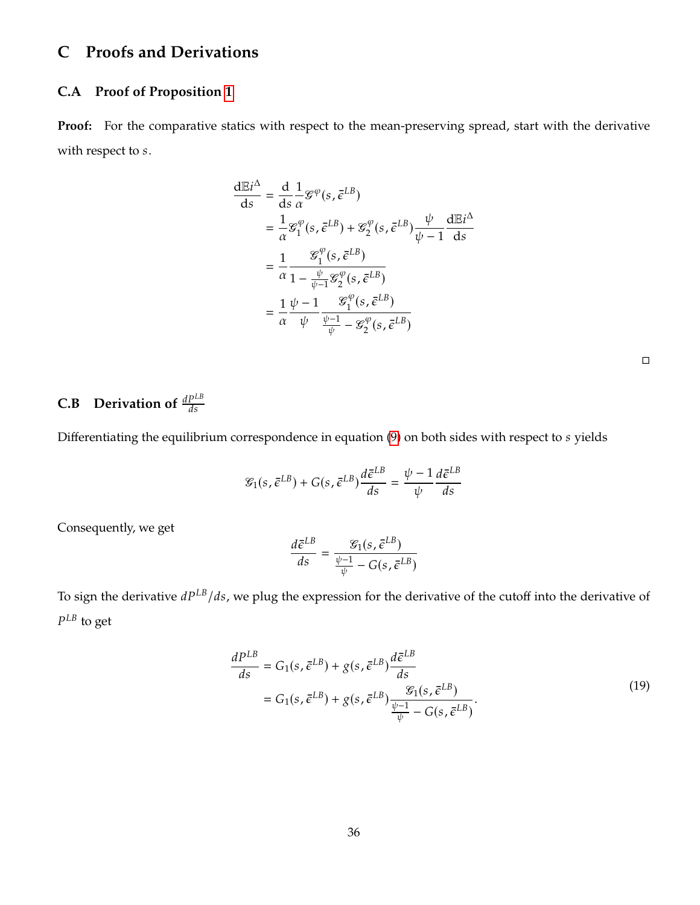### **C Proofs and Derivations**

### **C.A Proof of Proposition [1](#page-13-1)**

**Proof:** For the comparative statics with respect to the mean-preserving spread, start with the derivative with respect to  $s$ .

$$
\frac{dE i^{\Delta}}{ds} = \frac{d}{ds} \frac{1}{\alpha} \mathcal{G}^{\varphi}(s, \bar{\epsilon}^{LB})
$$
\n
$$
= \frac{1}{\alpha} \mathcal{G}_1^{\varphi}(s, \bar{\epsilon}^{LB}) + \mathcal{G}_2^{\varphi}(s, \bar{\epsilon}^{LB}) \frac{\psi}{\psi - 1} \frac{dE i^{\Delta}}{ds}
$$
\n
$$
= \frac{1}{\alpha} \frac{\mathcal{G}_1^{\varphi}(s, \bar{\epsilon}^{LB})}{1 - \frac{\psi}{\psi - 1} \mathcal{G}_2^{\varphi}(s, \bar{\epsilon}^{LB})}
$$
\n
$$
= \frac{1}{\alpha} \frac{\psi - 1}{\psi} \frac{\mathcal{G}_1^{\varphi}(s, \bar{\epsilon}^{LB})}{\frac{\psi - 1}{\psi} - \mathcal{G}_2^{\varphi}(s, \bar{\epsilon}^{LB})}
$$

## <span id="page-36-0"></span>**C.B** Derivation of  $\frac{aP^{2D}}{ds}$

Differentiating the equilibrium correspondence in equation  $(9)$  on both sides with respect to  $s$  yields

$$
\mathcal{E}_1(s, \bar{\epsilon}^{LB}) + G(s, \bar{\epsilon}^{LB}) \frac{d\bar{\epsilon}^{LB}}{ds} = \frac{\psi - 1}{\psi} \frac{d\bar{\epsilon}^{LB}}{ds}
$$

Consequently, we get

$$
\frac{d\bar{\epsilon}^{LB}}{ds} = \frac{\mathcal{G}_1(s, \bar{\epsilon}^{LB})}{\frac{\psi - 1}{\psi} - G(s, \bar{\epsilon}^{LB})}
$$

<span id="page-36-1"></span>To sign the derivative  $dP^{LB}/ds$ , we plug the expression for the derivative of the cutoff into the derivative of  $P^{LB}$  to get

$$
\frac{dP^{LB}}{ds} = G_1(s, \bar{\epsilon}^{LB}) + g(s, \bar{\epsilon}^{LB}) \frac{d\bar{\epsilon}^{LB}}{ds}
$$
  
=  $G_1(s, \bar{\epsilon}^{LB}) + g(s, \bar{\epsilon}^{LB}) \frac{\mathcal{G}_1(s, \bar{\epsilon}^{LB})}{\frac{\psi - 1}{\psi} - G(s, \bar{\epsilon}^{LB})}.$  (19)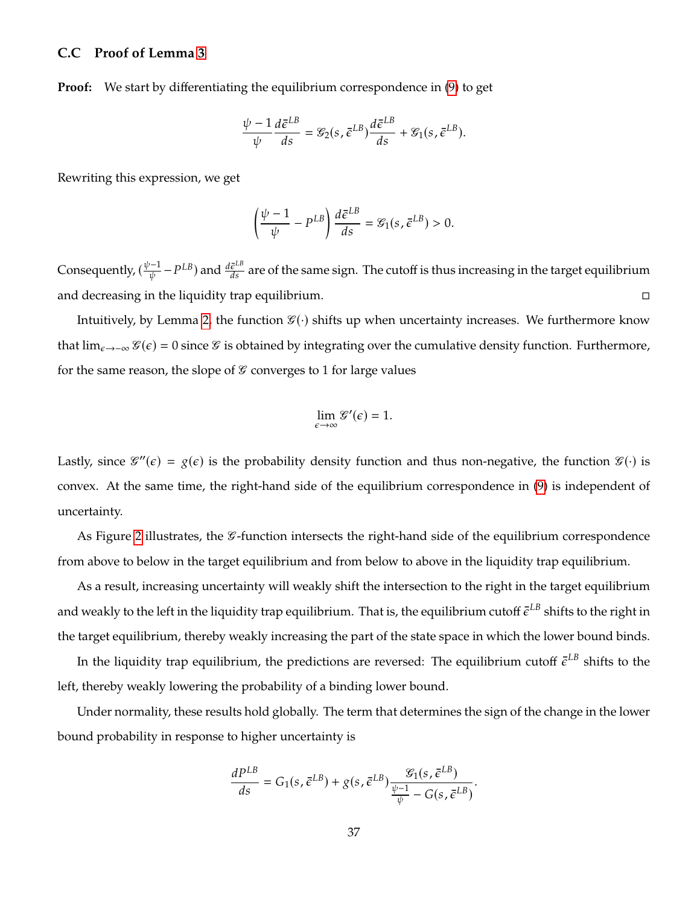### <span id="page-37-0"></span>**C.C Proof of Lemma [3](#page-14-0)**

**Proof:** We start by differentiating the equilibrium correspondence in [\(9\)](#page-9-2) to get

$$
\frac{\psi - 1}{\psi} \frac{d\bar{\epsilon}^{LB}}{ds} = \mathcal{E}_2(s, \bar{\epsilon}^{LB}) \frac{d\bar{\epsilon}^{LB}}{ds} + \mathcal{E}_1(s, \bar{\epsilon}^{LB}).
$$

Rewriting this expression, we get

$$
\left(\frac{\psi-1}{\psi}-P^{LB}\right)\frac{d\bar{\epsilon}^{LB}}{ds}=\mathcal{E}_1(s,\bar{\epsilon}^{LB})>0.
$$

Consequently,  $(\frac{\psi-1}{\psi})$  $\frac{(-1)}{\psi}$  –  $P^{LB}$ ) and  $\frac{d\bar{\epsilon}^{LB}}{ds}$  are of the same sign. The cutoff is thus increasing in the target equilibrium and decreasing in the liquidity trap equilibrium.

Intuitively, by Lemma [2,](#page-13-0) the function  $\mathcal{G}(\cdot)$  shifts up when uncertainty increases. We furthermore know that  $\lim_{\epsilon \to -\infty} \mathcal{G}(\epsilon) = 0$  since  $\mathcal{G}$  is obtained by integrating over the cumulative density function. Furthermore, for the same reason, the slope of  $\mathcal G$  converges to 1 for large values

$$
\lim_{\epsilon \to \infty} \mathcal{G}'(\epsilon) = 1.
$$

Lastly, since  $\mathscr{G}''(\epsilon) = g(\epsilon)$  is the probability density function and thus non-negative, the function  $\mathscr{G}(\cdot)$  is convex. At the same time, the right-hand side of the equilibrium correspondence in [\(9\)](#page-9-2) is independent of uncertainty.

As Figure [2](#page-11-0) illustrates, the  $\mathscr G$ -function intersects the right-hand side of the equilibrium correspondence from above to below in the target equilibrium and from below to above in the liquidity trap equilibrium.

As a result, increasing uncertainty will weakly shift the intersection to the right in the target equilibrium and weakly to the left in the liquidity trap equilibrium. That is, the equilibrium cutoff  $\bar e^{LB}$  shifts to the right in the target equilibrium, thereby weakly increasing the part of the state space in which the lower bound binds.

In the liquidity trap equilibrium, the predictions are reversed: The equilibrium cutoff  $\bar{\epsilon}^{LB}$  shifts to the left, thereby weakly lowering the probability of a binding lower bound.

Under normality, these results hold globally. The term that determines the sign of the change in the lower bound probability in response to higher uncertainty is

$$
\frac{dP^{LB}}{ds}=G_1(s,\bar{\epsilon}^{LB})+g(s,\bar{\epsilon}^{LB})\frac{\mathcal{G}_1(s,\bar{\epsilon}^{LB})}{\frac{\psi-1}{\psi}-G(s,\bar{\epsilon}^{LB})}.
$$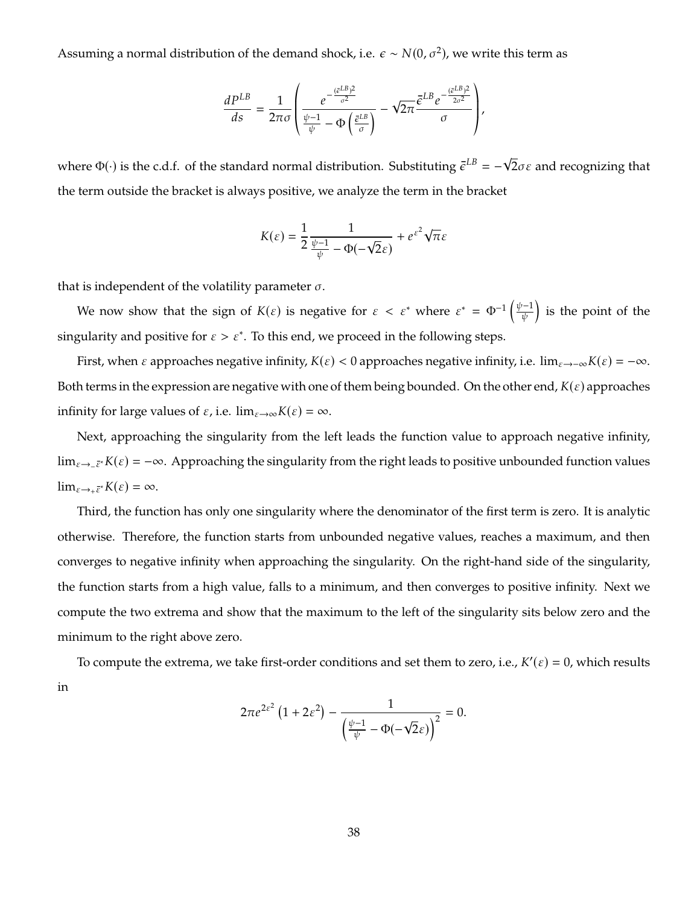Assuming a normal distribution of the demand shock, i.e.  $\epsilon \sim N(0, \sigma^2)$ , we write this term as

$$
\frac{dP^{LB}}{ds} = \frac{1}{2\pi\sigma} \left( \frac{e^{-\frac{(\bar{\varepsilon}^{LB})^2}{\sigma^2}}}{\frac{\psi-1}{\psi} - \Phi\left(\frac{\bar{\varepsilon}^{LB}}{\sigma}\right)} - \sqrt{2\pi} \frac{\bar{\varepsilon}^{LB} e^{-\frac{(\bar{\varepsilon}^{LB})^2}{2\sigma^2}}}{\sigma} \right),\,
$$

where  $\Phi(\cdot)$  is the c.d.f. of the standard normal distribution. Substituting  $\bar{\epsilon}^{LB}$  = -√ 2 $\sigma\varepsilon$  and recognizing that the term outside the bracket is always positive, we analyze the term in the bracket

$$
K(\varepsilon) = \frac{1}{2} \frac{1}{\frac{\psi - 1}{\psi} - \Phi(-\sqrt{2}\varepsilon)} + e^{\varepsilon^2} \sqrt{\pi} \varepsilon
$$

that is independent of the volatility parameter  $\sigma$ .

We now show that the sign of  $K(\varepsilon)$  is negative for  $\varepsilon < \varepsilon^*$  where  $\varepsilon^* = \Phi^{-1}\left(\frac{\psi - 1}{\psi}\right)$ ψ is the point of the singularity and positive for  $\varepsilon > \varepsilon^*$ . To this end, we proceed in the following steps.

First, when  $\varepsilon$  approaches negative infinity,  $K(\varepsilon) < 0$  approaches negative infinity, i.e.  $\lim_{\varepsilon \to -\infty} K(\varepsilon) = -\infty$ . Both terms in the expression are negative with one of them being bounded. On the other end,  $K(\varepsilon)$  approaches infinity for large values of  $\varepsilon$ , i.e.  $\lim_{\varepsilon \to \infty} K(\varepsilon) = \infty$ .

Next, approaching the singularity from the left leads the function value to approach negative infinity, lim<sub> $\varepsilon \to -\bar{\varepsilon}^* K(\varepsilon) = -\infty$ . Approaching the singularity from the right leads to positive unbounded function values</sub>  $\lim_{\varepsilon \to +\bar{\varepsilon}^*} K(\varepsilon) = \infty.$ 

Third, the function has only one singularity where the denominator of the first term is zero. It is analytic otherwise. Therefore, the function starts from unbounded negative values, reaches a maximum, and then converges to negative infinity when approaching the singularity. On the right-hand side of the singularity, the function starts from a high value, falls to a minimum, and then converges to positive infinity. Next we compute the two extrema and show that the maximum to the left of the singularity sits below zero and the minimum to the right above zero.

To compute the extrema, we take first-order conditions and set them to zero, i.e.,  $K'(\varepsilon) = 0$ , which results

in

$$
2\pi e^{2\varepsilon^2} \left(1 + 2\varepsilon^2\right) - \frac{1}{\left(\frac{\psi - 1}{\psi} - \Phi(-\sqrt{2}\varepsilon)\right)^2} = 0.
$$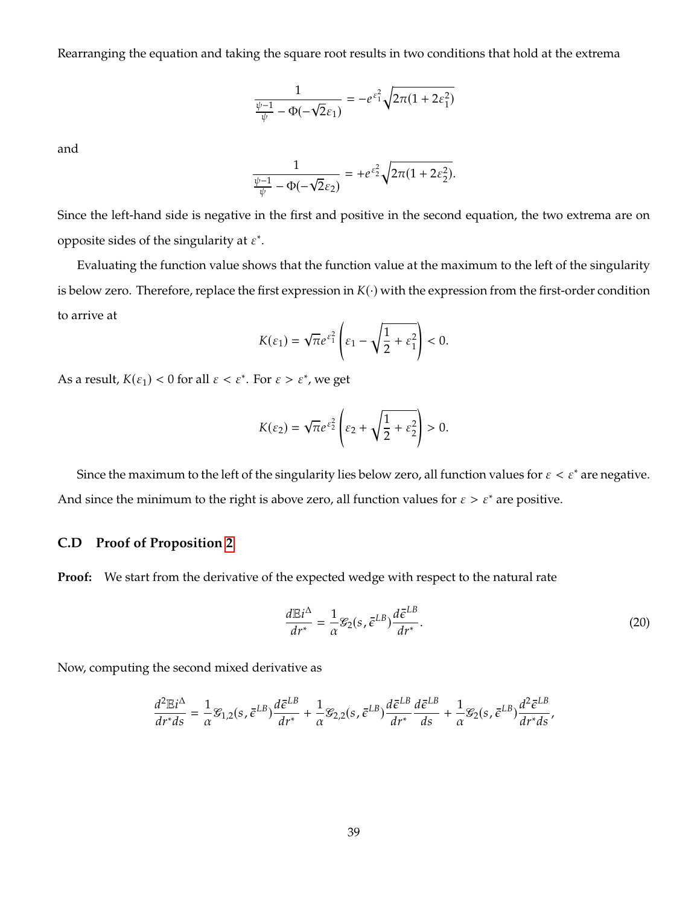Rearranging the equation and taking the square root results in two conditions that hold at the extrema

$$
\frac{1}{\frac{\psi-1}{\psi}-\Phi(-\sqrt{2}\varepsilon_1)}=-e^{\varepsilon_1^2}\sqrt{2\pi(1+2\varepsilon_1^2)}
$$

and

$$
\frac{1}{\frac{\psi-1}{\psi}-\Phi(-\sqrt{2}\varepsilon_2)}=+e^{\varepsilon_2^2}\sqrt{2\pi(1+2\varepsilon_2^2)}.
$$

Since the left-hand side is negative in the first and positive in the second equation, the two extrema are on opposite sides of the singularity at  $\varepsilon^*$ .

Evaluating the function value shows that the function value at the maximum to the left of the singularity is below zero. Therefore, replace the first expression in  $K(\cdot)$  with the expression from the first-order condition to arrive at  $\overline{ }$ 

$$
K(\varepsilon_1) = \sqrt{\pi}e^{\varepsilon_1^2} \left(\varepsilon_1 - \sqrt{\frac{1}{2} + \varepsilon_1^2}\right) < 0.
$$

As a result,  $K(\varepsilon_1) < 0$  for all  $\varepsilon < \varepsilon^*$ . For  $\varepsilon > \varepsilon^*$ , we get

$$
K(\varepsilon_2) = \sqrt{\pi}e^{\varepsilon_2^2} \left(\varepsilon_2 + \sqrt{\frac{1}{2} + \varepsilon_2^2}\right) > 0.
$$

Since the maximum to the left of the singularity lies below zero, all function values for  $\varepsilon < \varepsilon^*$  are negative. And since the minimum to the right is above zero, all function values for  $\varepsilon > \varepsilon^*$  are positive.

### <span id="page-39-0"></span>**C.D Proof of Proposition [2](#page-16-0)**

**Proof:** We start from the derivative of the expected wedge with respect to the natural rate

<span id="page-39-1"></span>
$$
\frac{d\mathbb{E}i^{\Delta}}{dr^*} = \frac{1}{\alpha} \mathcal{E}_2(s, \bar{\epsilon}^{LB}) \frac{d\bar{\epsilon}^{LB}}{dr^*}.
$$
\n(20)

Now, computing the second mixed derivative as

$$
\frac{d^2\mathbb{E}i^{\Delta}}{dr^*ds} = \frac{1}{\alpha}\mathcal{G}_{1,2}(s,\bar{\epsilon}^{LB})\frac{d\bar{\epsilon}^{LB}}{dr^*} + \frac{1}{\alpha}\mathcal{G}_{2,2}(s,\bar{\epsilon}^{LB})\frac{d\bar{\epsilon}^{LB}}{dr^*}\frac{d\bar{\epsilon}^{LB}}{ds} + \frac{1}{\alpha}\mathcal{G}_2(s,\bar{\epsilon}^{LB})\frac{d^2\bar{\epsilon}^{LB}}{dr^*ds},
$$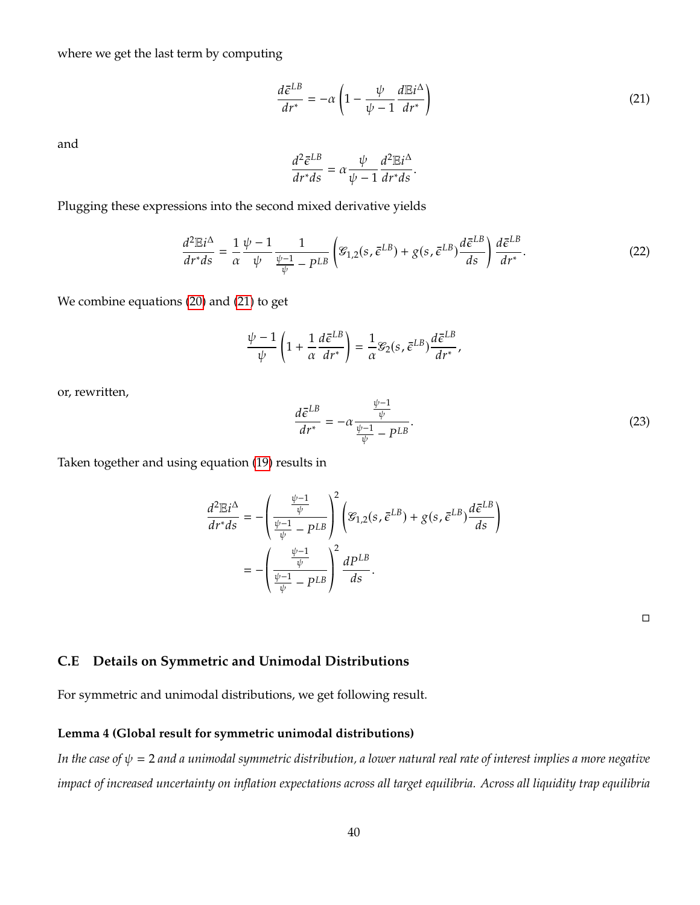where we get the last term by computing

<span id="page-40-1"></span>
$$
\frac{d\bar{\epsilon}^{LB}}{dr^*} = -\alpha \left( 1 - \frac{\psi}{\psi - 1} \frac{d\mathbb{E}i^{\Delta}}{dr^*} \right)
$$
(21)

and

$$
\frac{d^2\bar{\epsilon}^{LB}}{dr^*ds} = \alpha \frac{\psi}{\psi - 1} \frac{d^2 \mathbb{E} i^{\Delta}}{dr^*ds}.
$$

Plugging these expressions into the second mixed derivative yields

$$
\frac{d^2\mathbb{E}i^{\Delta}}{dr^*ds} = \frac{1}{\alpha} \frac{\psi - 1}{\psi} \frac{1}{\frac{\psi - 1}{\psi} - P^{LB}} \left( \mathcal{G}_{1,2}(s, \bar{\epsilon}^{LB}) + g(s, \bar{\epsilon}^{LB}) \frac{d\bar{\epsilon}^{LB}}{ds} \right) \frac{d\bar{\epsilon}^{LB}}{dr^*}.
$$
(22)

We combine equations [\(20\)](#page-39-1) and [\(21\)](#page-40-1) to get

$$
\frac{\psi-1}{\psi}\left(1+\frac{1}{\alpha}\frac{d\bar{\epsilon}^{LB}}{dr^*}\right)=\frac{1}{\alpha}\mathcal{E}_2(s,\bar{\epsilon}^{LB})\frac{d\bar{\epsilon}^{LB}}{dr^*},
$$

or, rewritten,

$$
\frac{d\bar{\epsilon}^{LB}}{dr^*} = -\alpha \frac{\frac{\psi - 1}{\psi}}{\frac{\psi - 1}{\psi} - PL^B}.\tag{23}
$$

Taken together and using equation [\(19\)](#page-36-1) results in

$$
\frac{d^2 \mathbb{E} i^{\Delta}}{dr^* ds} = -\left(\frac{\frac{\psi - 1}{\psi}}{\frac{\psi - 1}{\psi} - P^{LB}}\right)^2 \left(\mathcal{E}_{1,2}(s, \bar{\epsilon}^{LB}) + g(s, \bar{\epsilon}^{LB})\frac{d\bar{\epsilon}^{LB}}{ds}\right)
$$

$$
= -\left(\frac{\frac{\psi - 1}{\psi}}{\frac{\psi - 1}{\psi} - P^{LB}}\right)^2 \frac{dP^{LB}}{ds}.
$$

### <span id="page-40-0"></span>**C.E Details on Symmetric and Unimodal Distributions**

For symmetric and unimodal distributions, we get following result.

#### **Lemma 4 (Global result for symmetric unimodal distributions)**

*In the case of*  $\psi = 2$  *and a unimodal symmetric distribution, a lower natural real rate of interest implies a more negative impact of increased uncertainty on inflation expectations across all target equilibria. Across all liquidity trap equilibria*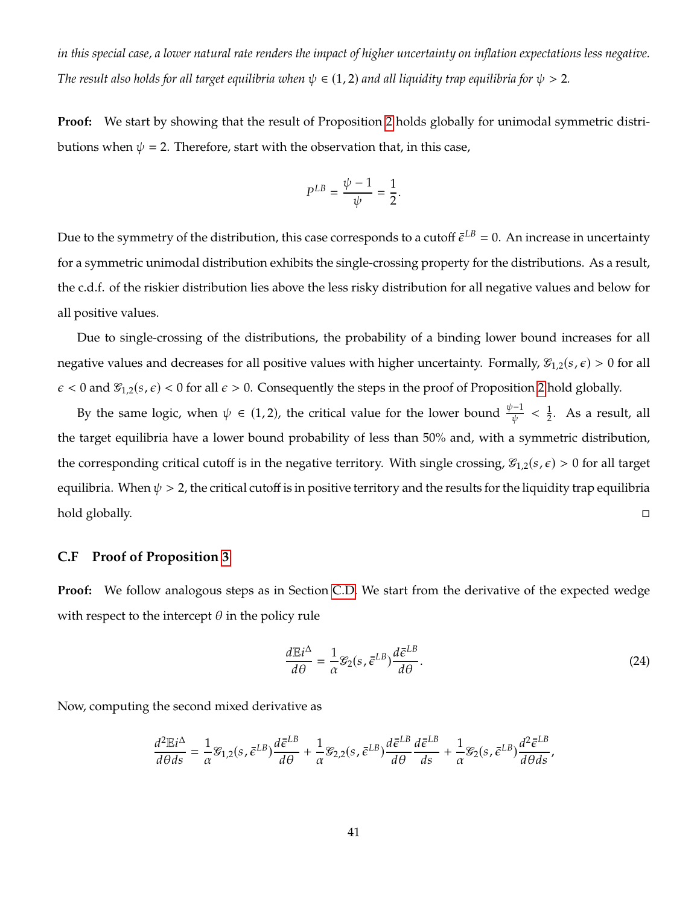*in this special case, a lower natural rate renders the impact of higher uncertainty on inflation expectations less negative. The result also holds for all target equilibria when*  $\psi \in (1, 2)$  *and all liquidity trap equilibria for*  $\psi > 2$ *.* 

**Proof:** We start by showing that the result of Proposition [2](#page-16-0) holds globally for unimodal symmetric distributions when  $\psi = 2$ . Therefore, start with the observation that, in this case,

$$
P^{LB} = \frac{\psi - 1}{\psi} = \frac{1}{2}
$$

Due to the symmetry of the distribution, this case corresponds to a cutoff  $\bar{\epsilon}^{LB}=0.$  An increase in uncertainty for a symmetric unimodal distribution exhibits the single-crossing property for the distributions. As a result, the c.d.f. of the riskier distribution lies above the less risky distribution for all negative values and below for all positive values.

Due to single-crossing of the distributions, the probability of a binding lower bound increases for all negative values and decreases for all positive values with higher uncertainty. Formally,  $\mathcal{G}_{1,2}(s,\epsilon) > 0$  for all  $\epsilon$  < 0 and  $\mathcal{C}_{1,2}(s,\epsilon)$  < 0 for all  $\epsilon$  > 0. Consequently the steps in the proof of Proposition [2](#page-16-0) hold globally.

By the same logic, when  $\psi \in (1,2)$ , the critical value for the lower bound  $\frac{\psi-1}{\psi} < \frac{1}{2}$  $\frac{1}{2}$ . As a result, all the target equilibria have a lower bound probability of less than 50% and, with a symmetric distribution, the corresponding critical cutoff is in the negative territory. With single crossing,  $\mathcal{G}_{1,2}(s,\epsilon) > 0$  for all target equilibria. When  $\psi > 2$ , the critical cutoff is in positive territory and the results for the liquidity trap equilibria hold globally.

#### <span id="page-41-0"></span>**C.F Proof of Proposition [3](#page-17-0)**

**Proof:** We follow analogous steps as in Section [C.D.](#page-39-0) We start from the derivative of the expected wedge with respect to the intercept  $\theta$  in the policy rule

<span id="page-41-1"></span>
$$
\frac{d\mathbb{E}i^{\Delta}}{d\theta} = \frac{1}{\alpha} \mathcal{E}_2(s, \bar{\epsilon}^{LB}) \frac{d\bar{\epsilon}^{LB}}{d\theta}.
$$
\n(24)

Now, computing the second mixed derivative as

$$
\frac{d^2 \mathbb{E} i^{\Delta}}{d\theta ds} = \frac{1}{\alpha} \mathcal{E}_{1,2}(s, \bar{\epsilon}^{LB}) \frac{d\bar{\epsilon}^{LB}}{d\theta} + \frac{1}{\alpha} \mathcal{E}_{2,2}(s, \bar{\epsilon}^{LB}) \frac{d\bar{\epsilon}^{LB}}{d\theta} \frac{d\bar{\epsilon}^{LB}}{ds} + \frac{1}{\alpha} \mathcal{E}_{2}(s, \bar{\epsilon}^{LB}) \frac{d^2 \bar{\epsilon}^{LB}}{d\theta ds},
$$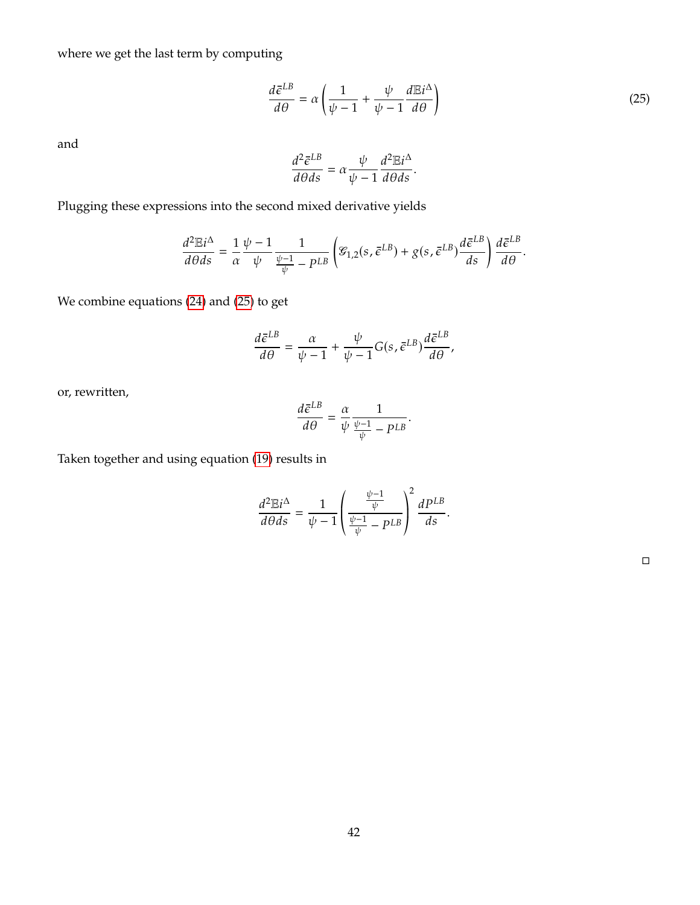where we get the last term by computing

<span id="page-42-0"></span>
$$
\frac{d\bar{\epsilon}^{LB}}{d\theta} = \alpha \left( \frac{1}{\psi - 1} + \frac{\psi}{\psi - 1} \frac{d\mathbb{E}i^{\Delta}}{d\theta} \right)
$$
(25)

and

$$
\frac{d^2\bar{\epsilon}^{LB}}{d\theta ds} = \alpha \frac{\psi}{\psi - 1} \frac{d^2 \mathbb{E} i^{\Delta}}{d\theta ds}.
$$

Plugging these expressions into the second mixed derivative yields

$$
\frac{d^2 \mathbb{E} i^{\Delta}}{d\theta ds} = \frac{1}{\alpha} \frac{\psi - 1}{\psi} \frac{1}{\frac{\psi - 1}{\psi} - p^{LB}} \left( \mathcal{G}_{1,2}(s, \bar{\epsilon}^{LB}) + g(s, \bar{\epsilon}^{LB}) \frac{d\bar{\epsilon}^{LB}}{ds} \right) \frac{d\bar{\epsilon}^{LB}}{d\theta}.
$$

We combine equations [\(24\)](#page-41-1) and [\(25\)](#page-42-0) to get

$$
\frac{d\bar{\epsilon}^{LB}}{d\theta} = \frac{\alpha}{\psi - 1} + \frac{\psi}{\psi - 1} G(s, \bar{\epsilon}^{LB}) \frac{d\bar{\epsilon}^{LB}}{d\theta},
$$

or, rewritten,

$$
\frac{d\bar{\epsilon}^{LB}}{d\theta} = \frac{\alpha}{\psi} \frac{1}{\frac{\psi - 1}{\psi} - p^{LB}}
$$

Taken together and using equation [\(19\)](#page-36-1) results in

$$
\frac{d^2\mathbb{E}i^{\Delta}}{d\theta ds} = \frac{1}{\psi - 1} \left( \frac{\frac{\psi - 1}{\psi}}{\frac{\psi - 1}{\psi} - p^{LB}} \right)^2 \frac{dP^{LB}}{ds}.
$$